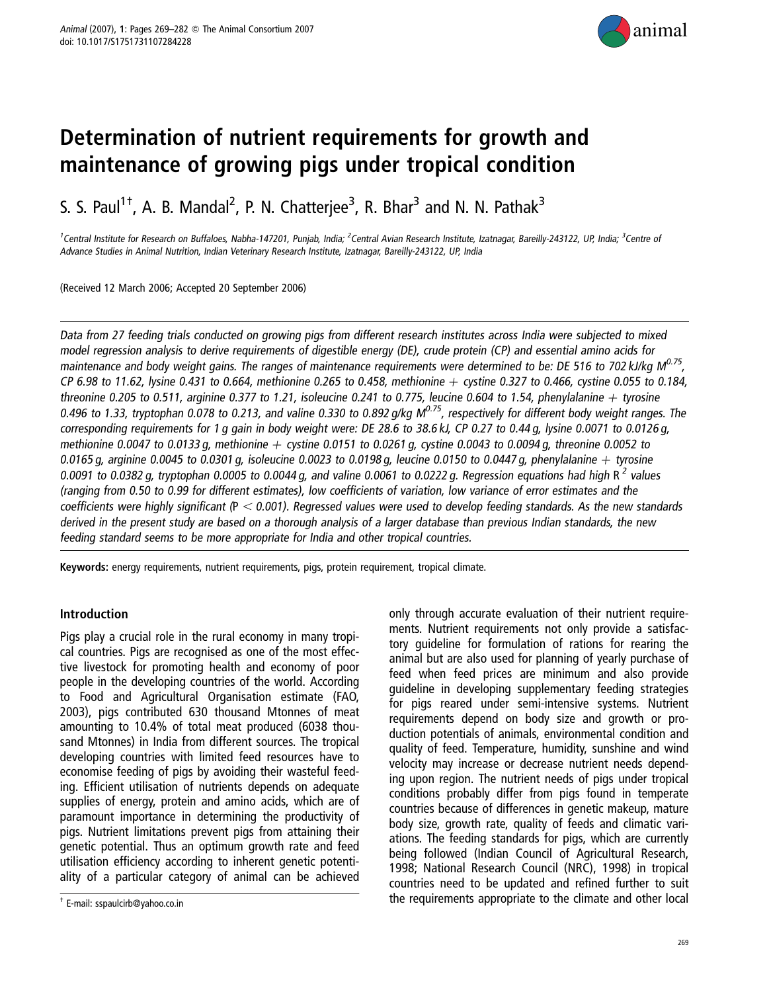

# Determination of nutrient requirements for growth and maintenance of growing pigs under tropical condition

S. S. Paul<sup>1†</sup>, A. B. Mandal<sup>2</sup>, P. N. Chatterjee<sup>3</sup>, R. Bhar<sup>3</sup> and N. N. Pathak<sup>3</sup>

<sup>1</sup>Central Institute for Research on Buffaloes, Nabha-147201, Punjab, India; <sup>2</sup>Central Avian Research Institute, Izatnagar, Bareilly-243122, UP, India; <sup>3</sup>Centre of Advance Studies in Animal Nutrition, Indian Veterinary Research Institute, Izatnagar, Bareilly-243122, UP, India

(Received 12 March 2006; Accepted 20 September 2006)

Data from 27 feeding trials conducted on growing pigs from different research institutes across India were subjected to mixed model regression analysis to derive requirements of digestible energy (DE), crude protein (CP) and essential amino acids for maintenance and body weight gains. The ranges of maintenance requirements were determined to be: DE 516 to 702 kJ/kg  $M^{0.75}$ , CP 6.98 to 11.62, lysine 0.431 to 0.664, methionine 0.265 to 0.458, methionine  $+$  cystine 0.327 to 0.466, cystine 0.055 to 0.184, threonine 0.205 to 0.511, arginine 0.377 to 1.21, isoleucine 0.241 to 0.775, leucine 0.604 to 1.54, phenylalanine + tyrosine 0.496 to 1.33, tryptophan 0.078 to 0.213, and valine 0.330 to 0.892 g/kg  $M^{0.75}$ , respectively for different body weight ranges. The corresponding requirements for 1 g gain in body weight were: DE 28.6 to 38.6 kJ, CP 0.27 to 0.44 g, lysine 0.0071 to 0.0126 g, methionine 0.0047 to 0.0133 g, methionine  $+$  cystine 0.0151 to 0.0261 g, cystine 0.0043 to 0.0094 g, threonine 0.0052 to 0.0165 g, arginine 0.0045 to 0.0301 g, isoleucine 0.0023 to 0.0198 g, leucine 0.0150 to 0.0447 g, phenylalanine  $+$  tyrosine 0.0091 to 0.0382 g, tryptophan 0.0005 to 0.0044 g, and valine 0.0061 to 0.0222 g. Regression equations had high R<sup>2</sup> values (ranging from 0.50 to 0.99 for different estimates), low coefficients of variation, low variance of error estimates and the coefficients were highly significant ( $P < 0.001$ ). Regressed values were used to develop feeding standards. As the new standards derived in the present study are based on <sup>a</sup> thorough analysis of <sup>a</sup> larger database than previous Indian standards, the new feeding standard seems to be more appropriate for India and other tropical countries.

Keywords: energy requirements, nutrient requirements, pigs, protein requirement, tropical climate.

#### Introduction

Pigs play a crucial role in the rural economy in many tropical countries. Pigs are recognised as one of the most effective livestock for promoting health and economy of poor people in the developing countries of the world. According to Food and Agricultural Organisation estimate (FAO, 2003), pigs contributed 630 thousand Mtonnes of meat amounting to 10.4% of total meat produced (6038 thousand Mtonnes) in India from different sources. The tropical developing countries with limited feed resources have to economise feeding of pigs by avoiding their wasteful feeding. Efficient utilisation of nutrients depends on adequate supplies of energy, protein and amino acids, which are of paramount importance in determining the productivity of pigs. Nutrient limitations prevent pigs from attaining their genetic potential. Thus an optimum growth rate and feed utilisation efficiency according to inherent genetic potentiality of a particular category of animal can be achieved

only through accurate evaluation of their nutrient requirements. Nutrient requirements not only provide a satisfactory guideline for formulation of rations for rearing the animal but are also used for planning of yearly purchase of feed when feed prices are minimum and also provide guideline in developing supplementary feeding strategies for pigs reared under semi-intensive systems. Nutrient requirements depend on body size and growth or production potentials of animals, environmental condition and quality of feed. Temperature, humidity, sunshine and wind velocity may increase or decrease nutrient needs depending upon region. The nutrient needs of pigs under tropical conditions probably differ from pigs found in temperate countries because of differences in genetic makeup, mature body size, growth rate, quality of feeds and climatic variations. The feeding standards for pigs, which are currently being followed (Indian Council of Agricultural Research, 1998; National Research Council (NRC), 1998) in tropical countries need to be updated and refined further to suit  $\frac{1}{T}$  E-mail: sspaulcirb@yahoo.co.in **E-mail:** sspaulcirb@yahoo.co.in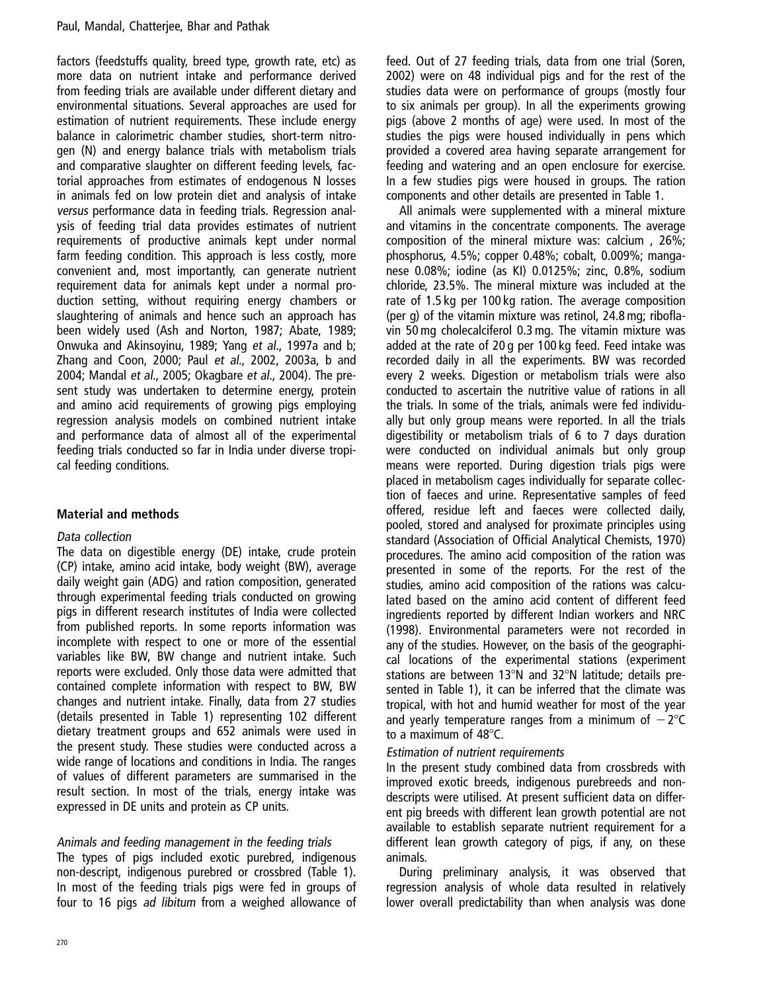factors (feedstuffs quality, breed type, growth rate, etc) as more data on nutrient intake and performance derived from feeding trials are available under different dietary and environmental situations. Several approaches are used for estimation of nutrient requirements. These include energy balance in calorimetric chamber studies, short-term nitrogen (N) and energy balance trials with metabolism trials and comparative slaughter on different feeding levels, factorial approaches from estimates of endogenous N losses in animals fed on low protein diet and analysis of intake versus performance data in feeding trials. Regression analysis of feeding trial data provides estimates of nutrient requirements of productive animals kept under normal farm feeding condition. This approach is less costly, more convenient and, most importantly, can generate nutrient requirement data for animals kept under a normal production setting, without requiring energy chambers or slaughtering of animals and hence such an approach has been widely used (Ash and Norton, 1987; Abate, 1989; Onwuka and Akinsoyinu, 1989; Yang et al., 1997a and b; Zhang and Coon, 2000; Paul et al., 2002, 2003a, b and 2004; Mandal et al., 2005; Okagbare et al., 2004). The present study was undertaken to determine energy, protein and amino acid requirements of growing pigs employing regression analysis models on combined nutrient intake and performance data of almost all of the experimental feeding trials conducted so far in India under diverse tropical feeding conditions.

# Material and methods

# Data collection

The data on digestible energy (DE) intake, crude protein (CP) intake, amino acid intake, body weight (BW), average daily weight gain (ADG) and ration composition, generated through experimental feeding trials conducted on growing pigs in different research institutes of India were collected from published reports. In some reports information was incomplete with respect to one or more of the essential variables like BW, BW change and nutrient intake. Such reports were excluded. Only those data were admitted that contained complete information with respect to BW, BW changes and nutrient intake. Finally, data from 27 studies (details presented in Table 1) representing 102 different dietary treatment groups and 652 animals were used in the present study. These studies were conducted across a wide range of locations and conditions in India. The ranges of values of different parameters are summarised in the result section. In most of the trials, energy intake was expressed in DE units and protein as CP units.

# Animals and feeding management in the feeding trials

The types of pigs included exotic purebred, indigenous non-descript, indigenous purebred or crossbred (Table 1). In most of the feeding trials pigs were fed in groups of four to 16 pigs ad libitum from a weighed allowance of

feed. Out of 27 feeding trials, data from one trial (Soren, 2002) were on 48 individual pigs and for the rest of the studies data were on performance of groups (mostly four to six animals per group). In all the experiments growing pigs (above 2 months of age) were used. In most of the studies the pigs were housed individually in pens which provided a covered area having separate arrangement for feeding and watering and an open enclosure for exercise. In a few studies pigs were housed in groups. The ration components and other details are presented in Table 1.

All animals were supplemented with a mineral mixture and vitamins in the concentrate components. The average composition of the mineral mixture was: calcium , 26%; phosphorus, 4.5%; copper 0.48%; cobalt, 0.009%; manganese 0.08%; iodine (as KI) 0.0125%; zinc, 0.8%, sodium chloride, 23.5%. The mineral mixture was included at the rate of 1.5 kg per 100 kg ration. The average composition (per g) of the vitamin mixture was retinol, 24.8 mg; riboflavin 50 mg cholecalciferol 0.3 mg. The vitamin mixture was added at the rate of 20 g per 100 kg feed. Feed intake was recorded daily in all the experiments. BW was recorded every 2 weeks. Digestion or metabolism trials were also conducted to ascertain the nutritive value of rations in all the trials. In some of the trials, animals were fed individually but only group means were reported. In all the trials digestibility or metabolism trials of 6 to 7 days duration were conducted on individual animals but only group means were reported. During digestion trials pigs were placed in metabolism cages individually for separate collection of faeces and urine. Representative samples of feed offered, residue left and faeces were collected daily, pooled, stored and analysed for proximate principles using standard (Association of Official Analytical Chemists, 1970) procedures. The amino acid composition of the ration was presented in some of the reports. For the rest of the studies, amino acid composition of the rations was calculated based on the amino acid content of different feed ingredients reported by different Indian workers and NRC (1998). Environmental parameters were not recorded in any of the studies. However, on the basis of the geographical locations of the experimental stations (experiment stations are between 13 $\textdegree$ N and 32 $\textdegree$ N latitude; details presented in Table 1), it can be inferred that the climate was tropical, with hot and humid weather for most of the year and yearly temperature ranges from a minimum of  $-2^{\circ}C$ to a maximum of  $48^{\circ}$ C.

# Estimation of nutrient requirements

In the present study combined data from crossbreds with improved exotic breeds, indigenous purebreeds and nondescripts were utilised. At present sufficient data on different pig breeds with different lean growth potential are not available to establish separate nutrient requirement for a different lean growth category of pigs, if any, on these animals.

During preliminary analysis, it was observed that regression analysis of whole data resulted in relatively lower overall predictability than when analysis was done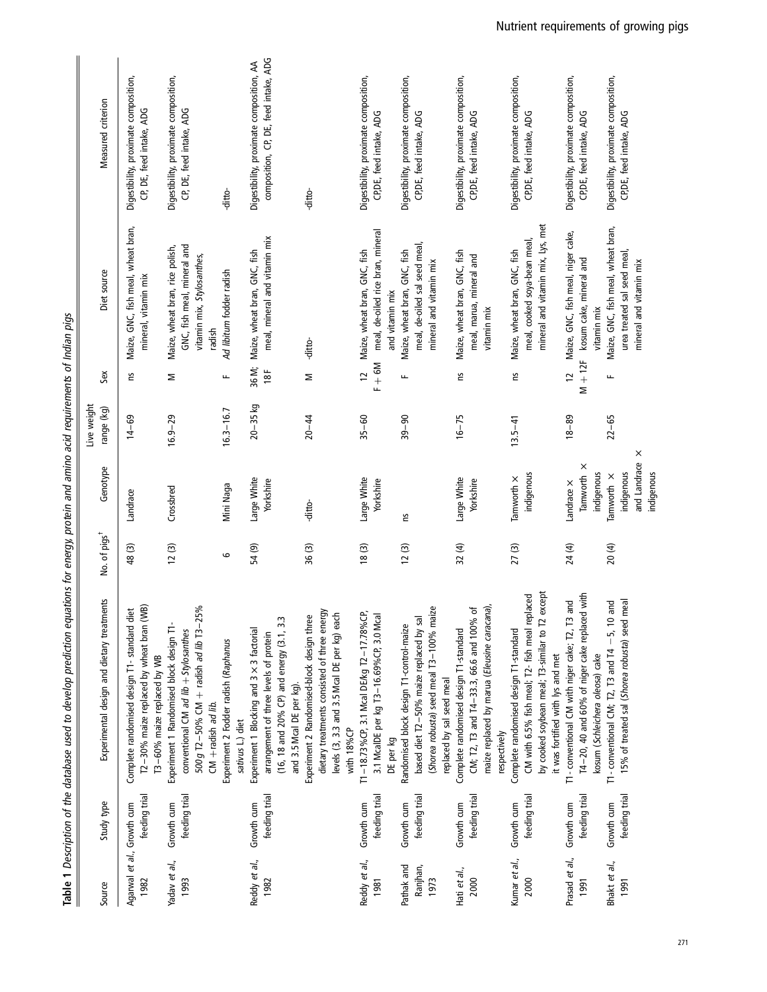|                                    |                             | Table 1 Description of the database used to develop prediction equations for energy, protein and amino acid requirements of Indian pigs                                          |                          |                                                             |                           |                          |                                                                                                        |                                                                                   |
|------------------------------------|-----------------------------|----------------------------------------------------------------------------------------------------------------------------------------------------------------------------------|--------------------------|-------------------------------------------------------------|---------------------------|--------------------------|--------------------------------------------------------------------------------------------------------|-----------------------------------------------------------------------------------|
| Source                             | Study type                  | Experimental design and dietary treatments                                                                                                                                       | No. of pigs <sup>t</sup> | Genotype                                                    | Live weight<br>range (kg) | Sex                      | Diet source                                                                                            | Measured criterion                                                                |
| Agarwal et al., Growth cum<br>1982 | feeding trial               | T2-30% maize replaced by wheat bran (WB)<br>Complete randomised design T1-standard diet<br>T3-60% maize replaced by WB                                                           | 48(3)                    | Landrace                                                    | $14 - 69$                 | ٤                        | Maize, GNC, fish meal, wheat bran,<br>mineral, vitamin mix                                             | Digestibility, proximate composition,<br>CP, DE, feed intake, ADG                 |
| Yadav et al.,<br>1993              | feeding trial<br>Growth cum | 500 g T2-50% CM + radish ad lib T3-25%<br>Experiment 1 Randomised block design T1-<br>conventional CM ad lib $+$ Stylosanthes<br>$CM +$ radish ad lib.                           | 12(3)                    | Crossbred                                                   | $16.9 - 29$               | Σ                        | GNC, fish meal, mineral and<br>Maize, wheat bran, rice polish,<br>vitamin mix, Stylosanthes,<br>radish | Digestibility, proximate composition,<br>CP, DE, feed intake, ADG                 |
|                                    |                             | Experiment 2 Fodder radish (Raphanus<br>sativus L.) diet                                                                                                                         | G                        | Mini Naga                                                   | $16.3 - 16.7$             | щ                        | Ad libitum fodder radish                                                                               | -ditto-                                                                           |
| Reddy et al.,<br>1982              | feeding trial<br>Growth cum | (16, 18 and 20% CP) and energy (3.1, 3.3<br>Experiment 1 Blocking and 3 × 3 factorial<br>arrangement of three levels of protein<br>and 3.5 Mcal DE per kg).                      | 54 (9)                   | Large White<br>Yorkshire                                    | $20 - 35$ kg              | 36 M;<br>18F             | meal, mineral and vitamin mix<br>Maize, wheat bran, GNC, fish                                          | composition, CP, DE, feed intake, ADG<br>Digestibility, proximate composition, AA |
|                                    |                             | dietary treatments consisted of three energy<br>levels (3, 3.3 and 3.5 Mcal DE per kg) each<br>Experiment 2 Randomised-block design three<br>with 18%CP                          | 36(3)                    | -ditto-                                                     | $20 - 44$                 | Σ                        | -ditto-                                                                                                | -ditto-                                                                           |
| Reddy et al.,<br>1981              | feeding trial<br>Growth cum | T1-18.73%CP, 3.1 Mcal DE/kg T2-17.78%CP,<br>3.1 McalDE per kg T3-16.69%CP, 3.0 Mcal<br>DE per kg                                                                                 | 18(3)                    | Large White<br>Yorkshire                                    | $35 - 60$                 | $F + 6M$<br>$\tilde{c}$  | meal, de-oiled rice bran, mineral<br>Maize, wheat bran, GNC, fish<br>and vitamin mix                   | Digestibility, proximate composition,<br>CP,DE, feed intake, ADG                  |
| Pathak and<br>Ranjhan,<br>1973     | feeding trial<br>Growth cum | (Shorea robusta) seed meal T3-100% maize<br>based diet T2-50% maize replaced by sal<br>Randomised block design T1-control-maize<br>replaced by sal seed meal                     | 12(3)                    | 5,                                                          | $39 - 90$                 | щ                        | meal, de-oiled sal seed meal,<br>Maize, wheat bran, GNC, fish<br>mineral and vitamin mix               | Digestibility, proximate composition,<br>CP, DE, feed intake, ADG                 |
| Hati et al.,<br>2000               | feeding trial<br>Growth cum | maize replaced by marua (Eleusine caracana),<br>CM; T2, T3 and T4-33.3, 66.6 and 100% of<br>Complete randomised design T1-standard<br>respectively                               | 32 (4)                   | Large White<br>Yorkshire                                    | $16 - 75$                 | Σu                       | Maize, wheat bran, GNC, fish<br>meal, marua, mineral and<br>vitamin mix                                | Digestibility, proximate composition,<br>CP, DE, feed intake, ADG                 |
| Kumar et al.,<br>2000              | feeding trial<br>Growth cum | by cooked soybean meal; T3-similar to T2 except<br>CM with 6.5% fish meal; T2- fish meal replaced<br>Complete randomised design T1-standard<br>it was fortified with lys and met | 27(3)                    | indigenous<br>Tamworth ×                                    | $13.5 - 41$               | ٤                        | mineral and vitamin mix, Lys, met<br>meal, cooked soya-bean meal,<br>Maize, wheat bran, GNC, fish      | Digestibility, proximate composition,<br>CP,DE, feed intake, ADG                  |
| Prasad et al.,<br>1991             | feeding trial<br>Growth cum | T4-20, 40 and 60% of niger cake replaced with<br>T1- conventional CM with niger cake; T2, T3 and<br>kosum (Schleichera oleosa) cake                                              | 24 (4)                   | Tamworth ×<br>indigenous<br>Landrace X                      | $18 - 89$                 | $M + 12F$<br>$\tilde{c}$ | Maize, GNC, fish meal, niger cake,<br>kosum cake, mineral and<br>vitamin mix                           | Digestibility, proximate composition,<br>CPDE, feed intake, ADG                   |
| Bhakt et al.,<br>1991              | feeding trial<br>Growth cum | 15% of treated sal (Shorea robusta) seed meal<br>T1-conventional CM; T2, T3 and T4 $-5$ , 10 and                                                                                 | 20(4)                    | ×<br>and Landrace<br>indigenous<br>indigenous<br>Tamworth × | $22 - 65$                 | щ                        | Maize, GNC, fish meal, wheat bran,<br>urea treated sal seed meal,<br>mineral and vitamin mix           | Digestibility, proximate composition,<br>CPDE, feed intake, ADG                   |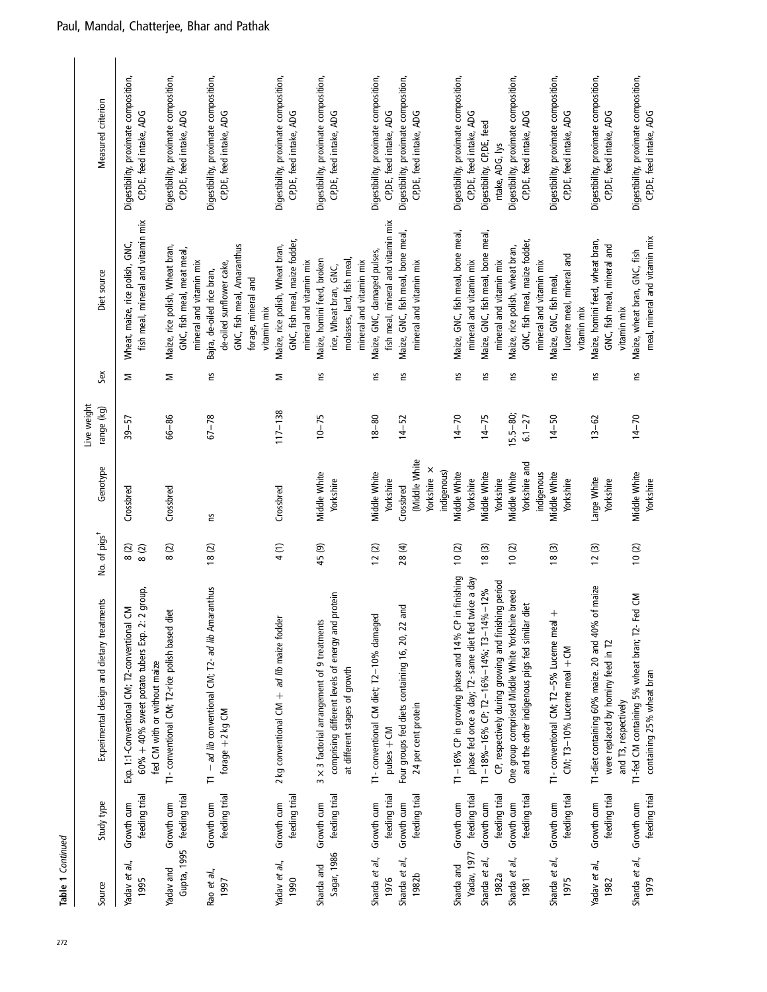| Source                        | Study type                              | Experimental design and dietary treatments                                                                                            | No. of pigs <sup>t</sup> | Genotype                                    | Live weight<br>range (kg) | Sex | Diet source                                                                                                                | Measured criterion                                                |
|-------------------------------|-----------------------------------------|---------------------------------------------------------------------------------------------------------------------------------------|--------------------------|---------------------------------------------|---------------------------|-----|----------------------------------------------------------------------------------------------------------------------------|-------------------------------------------------------------------|
| Yadav et al.,<br>1995         | feeding trial<br>Growth cum             | 2 group,<br>Exp. 1:1-Conventional CM; T2-conventional CM<br>$60\% + 40\%$ sweet potato tubers Exp. 2:<br>fed CM with or without maize | 8(2)<br>$8\ (2)$         | Crossbred                                   | $39 - 57$                 | Σ   | fish meal, mineral and vitamin mix<br>Wheat, maize, rice polish, GNC,                                                      | Digestibility, proximate composition,<br>CP, DE, feed intake, ADG |
| Yadav and                     | Gupta, 1995 feeding trial<br>Growth cum | T1- conventional CM; T2-rice polish based diet                                                                                        | 8(2)                     | Crossbred                                   | $66 - 86$                 | Σ   | Maize, rice polish, Wheat bran,<br>GNC, fish meal, meat meal,<br>mineral and vitamin mix                                   | Digestibility, proximate composition,<br>CP, DE, feed intake, ADG |
| Rao et al.,<br>1997           | feeding trial<br>Growth cum             | T1 - ad lib conventional CM; T2- ad lib Amaranthus<br>forage $+2$ kg CM                                                               | 18(2)                    | 5U                                          | $67 - 78$                 | S   | GNC, fish meal, Amaranthus<br>de-oiled sunflower cake,<br>Bajra, de-oiled rice bran,<br>forage, mineral and<br>vitamin mix | Digestibility, proximate composition,<br>CP, DE, feed intake, ADG |
| Yadav et al.,<br>1990         | feeding trial<br>Growth cum             | $2$ kg conventional CM $+$ ad lib maize fodder                                                                                        | 4(1)                     | Crossbred                                   | $117 - 138$               | Σ   | GNC, fish meal, maize fodder,<br>Maize, rice polish, Wheat bran,<br>mineral and vitamin mix                                | Digestibility, proximate composition,<br>CP, DE, feed intake, ADG |
| Sagar, 1986<br>Sharda and     | feeding trial<br>Growth cum             | comprising different levels of energy and protein<br>3 × 3 factorial arrangement of 9 treatments<br>at different stages of growth     | 45(9)                    | Middle White<br>Yorkshire                   | $10 - 75$                 | 5q  | molasses, lard, fish meal,<br>Maize, homini feed, broken<br>mineral and vitamin mix<br>rice, Wheat bran, GNC,              | Digestibility, proximate composition,<br>CP, DE, feed intake, ADG |
| Sharda et al.,                | Growth cum                              | T1- conventional CM diet; T2-10% damaged                                                                                              | 12(2)                    | Middle White                                | $18 - 80$                 | 5u  | Maize, GNC, damaged pulses,                                                                                                | Digestibility, proximate composition,                             |
| Sharda et al.,<br>1976        | feeding trial<br>Growth cum             | Four groups fed diets containing 16, 20, 22 and<br>pulses + CM                                                                        | 28(4)                    | Yorkshire<br>Crossbred                      | $14 - 52$                 | S   | fish meal, mineral and vitamin mix<br>Maize, GNC, fish meal, bone meal,                                                    | Digestibility, proximate composition,<br>CP, DE, feed intake, ADG |
| 1982b                         | feeding trial                           | 24 per cent protein                                                                                                                   |                          | (Middle White<br>Yorkshire ×<br>indigenous) |                           |     | mineral and vitamin mix                                                                                                    | CP, DE, feed intake, ADG                                          |
| Sharda and                    | Growth cum                              | T1-16% CP in growing phase and 14% CP in finishing                                                                                    | 10(2)                    | Middle White                                | $14 - 70$                 | ξ   | Maize, GNC, fish meal, bone meal,                                                                                          | Digestibility, proximate composition,                             |
| Yadav, 1977<br>Sharda et al., | feeding trial<br>Growth cum             | phase fed once a day; T2- same diet fed twice a day<br>$T1 - 18\% - 16\%$ CP; $T2 - 16\% - 14\%$ ; $T3 - 14\% - 12\%$                 | 18(3)                    | Middle White<br>Yorkshire                   | $14 - 75$                 | č   | Maize, GNC, fish meal, bone meal,<br>mineral and vitamin mix                                                               | CP, DE, feed intake, ADG<br>Digestibility, CP,DE, feed            |
| 1982a                         | feeding trial                           | CP, respectively during growing and finishing period                                                                                  |                          | Yorkshire                                   |                           |     | mineral and vitamin mix                                                                                                    | ntake, ADG, lys                                                   |
| Sharda et al.,                | Growth cum                              | One group comprised Middle White Yorkshire breed                                                                                      | 10(2)                    | Middle White                                | $15.5 - 80$               | 5q  | Maize, rice polish, wheat bran,                                                                                            | Digestibility, proximate composition,                             |
| 1981                          | feeding trial                           | diet<br>and the other indigenous pigs fed similar                                                                                     |                          | Yorkshire and<br>indigenous                 | $6.1 - 27$                |     | GNC, fish meal, maize fodder,<br>mineral and vitamin mix                                                                   | CP,DE, feed intake, ADG                                           |
| Sharda et al.,<br>1975        | feeding trial<br>Growth cum             | $^{+}$<br>T1- conventional CM; T2-5% Lucerne meal<br>$CN$ ; T3-10% Lucerne meal + CM                                                  | 18(3)                    | Middle White<br>Yorkshire                   | $14 - 50$                 | ξ   | lucerne meal, mineral and<br>Maize, GNC, fish meal,                                                                        | Digestibility, proximate composition,<br>CP, DE, feed intake, ADG |
| Yadav et al.,                 | Growth cum                              | T1-diet containing 60% maize. 20 and 40%                                                                                              |                          |                                             |                           |     | Maize, homini feed, wheat bran,<br>vitamin mix                                                                             | Digestibility, proximate composition,                             |
| 1982                          | feeding trial                           | of maize<br>were replaced by hominy feed in T2                                                                                        | 12(3)                    | Large White<br>Yorkshire                    | $13 - 62$                 | č   | GNC, fish meal, mineral and                                                                                                | CP, DE, feed intake, ADG                                          |
| Sharda et al.,<br>1979        | feeding trial<br>Growth cum             | T1-fed CM containing 5% wheat bran; T2- Fed CM<br>containing 25% wheat bran<br>and T3, respectively                                   | 10(2)                    | Middle White<br>Yorkshire                   | $14 - 70$                 | Σu  | meal, mineral and vitamin mix<br>Maize, wheat bran, GNC, fish<br>vitamin mix                                               | Digestibility, proximate composition,<br>CP, DE, feed intake, ADG |
|                               |                                         |                                                                                                                                       |                          |                                             |                           |     |                                                                                                                            |                                                                   |

Table 1 Continued

Table 1 Continued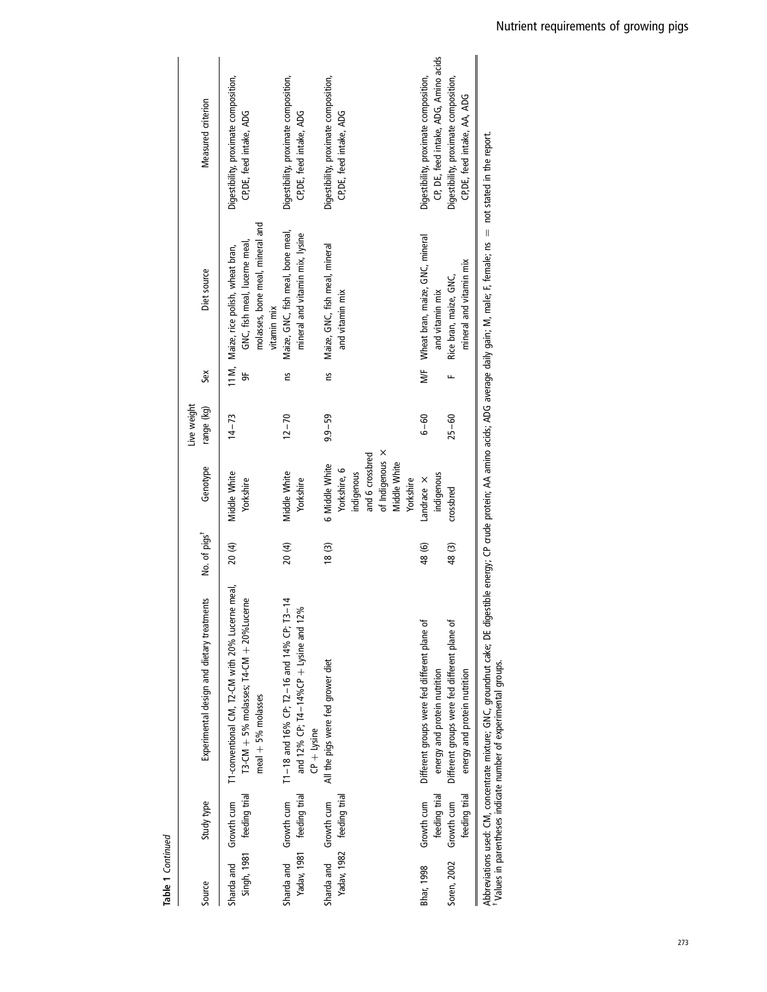| Source                    | Study type                                                 | Experimental design and dietary treatments                                                                                                                                                                                                                                | No. of pigs <sup>+</sup> | Genotype                                                                                                        | Live weight<br>range (kg) | Šex      | Diet source                                                                                                              | Measured criterion                                                                                                                                      |
|---------------------------|------------------------------------------------------------|---------------------------------------------------------------------------------------------------------------------------------------------------------------------------------------------------------------------------------------------------------------------------|--------------------------|-----------------------------------------------------------------------------------------------------------------|---------------------------|----------|--------------------------------------------------------------------------------------------------------------------------|---------------------------------------------------------------------------------------------------------------------------------------------------------|
| Sharda and                | Singh, 1981 feeding trial<br>Growth cum                    | T1-conventional CM, T2-CM with 20% Lucerne meal,<br>$T3$ -CM $+5%$ molasses; $T4$ -CM $+20%$ Lucerne<br>$\text{real} + 5\%$ molasses                                                                                                                                      | 20(4)                    | Middle White<br>Yorkshire                                                                                       | $14 - 73$                 | 5        | molasses, bone meal, mineral and<br>GNC, fish meal, lucerne meal<br>11 M, Maize, rice polish, wheat bran,<br>vitamin mix | Digestibility, proximate composition,<br>CP, DE, feed intake, ADG                                                                                       |
| Sharda and Growth cum     | Yadav, 1981 feeding trial                                  | T1-18 and 16% CP; T2-16 and 14% CP; T3-14<br>and 12% CP; T4-14%CP + Lysine and 12%<br>$CP + l$ ysine                                                                                                                                                                      | 20 (4)                   | Middle White<br>Yorkshire                                                                                       | $12 - 70$                 | Σu       | Maize, GNC, fish meal, bone meal,<br>mineral and vitamin mix, lysine                                                     | Digestibility, proximate composition,<br>CP, DE, feed intake, ADG                                                                                       |
| Sharda and Growth cum     | Yadav, 1982 feeding trial                                  | All the pigs were fed grower diet                                                                                                                                                                                                                                         | 18(3)                    | of Indigenous X<br>and 6 crossbred<br>Middle White<br>6 Middle White<br>Yorkshire, 6<br>indigenous<br>Yorkshire | $9.9 - 59$                | 2u       | Maize, GNC, fish meal, mineral<br>and vitamin mix                                                                        | Digestibility, proximate composition,<br>CP, DE, feed intake, ADG                                                                                       |
| Soren, 2002<br>Bhar, 1998 | feeding trial<br>feeding trial<br>Growth cum<br>Growth cum | Different groups were fed different plane of<br>Different groups were fed different plane of<br>energy and protein nutrition<br>energy and protein nutrition                                                                                                              | 48 (6)<br>48(3)          | indigenous<br>Landrace X<br>crossbred                                                                           | $6 - 60$<br>$25 - 60$     | N/F<br>щ | Wheat bran, maize, GNC, mineral<br>mineral and vitamin mix<br>Rice bran, maize, GNC,<br>and vitamin mix                  | CP, DE, feed intake, ADG, Amino acids<br>Digestibility, proximate composition,<br>Digestibility, proximate composition,<br>CP, DE, feed intake, AA, ADG |
|                           |                                                            | Abbreviations used: CM, concentrate mixture; GNC, groundnut cake; DE digestible energy; CP crude protein; AA amino acids; ADG average daily gain; M, male; F, female; ns $\,$ = not stated in the report.<br>Walues in parentheses indicate pumper of experimental groups |                          |                                                                                                                 |                           |          |                                                                                                                          |                                                                                                                                                         |

Table 1 Continued

Table 1 Continued

lai yruus.<br>. Values in parentheses indicate number of experimental groups. ₹ les in pai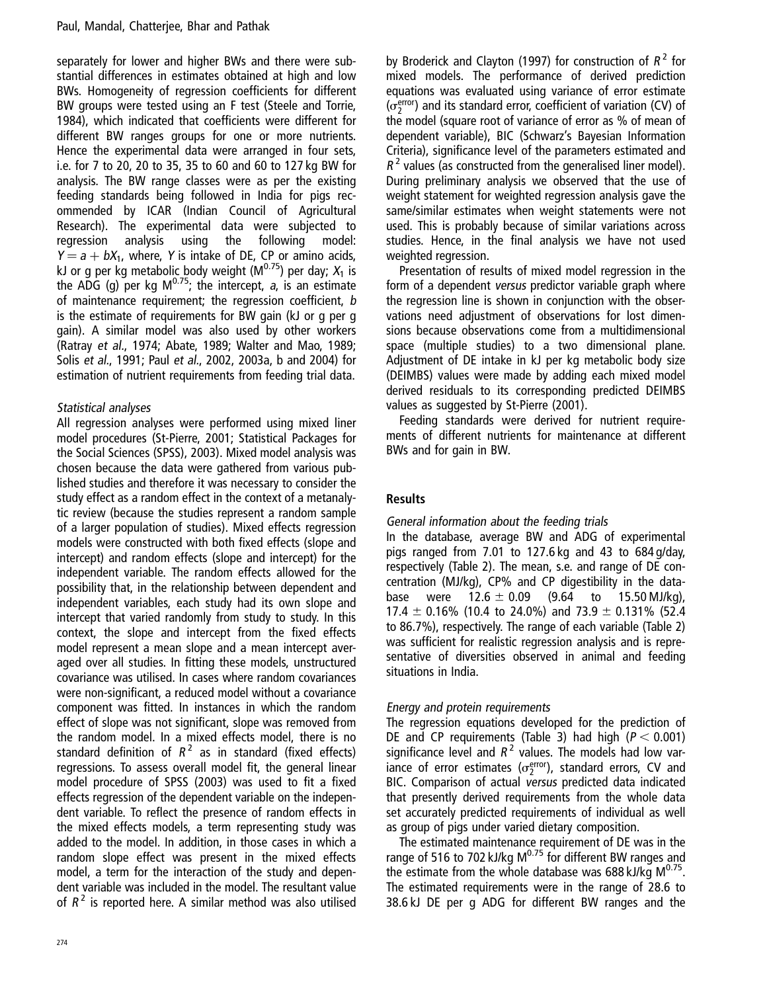separately for lower and higher BWs and there were substantial differences in estimates obtained at high and low BWs. Homogeneity of regression coefficients for different BW groups were tested using an F test (Steele and Torrie, 1984), which indicated that coefficients were different for different BW ranges groups for one or more nutrients. Hence the experimental data were arranged in four sets, i.e. for 7 to 20, 20 to 35, 35 to 60 and 60 to 127 kg BW for analysis. The BW range classes were as per the existing feeding standards being followed in India for pigs recommended by ICAR (Indian Council of Agricultural Research). The experimental data were subjected to regression analysis using the following model:  $Y = a + bX_1$ , where, Y is intake of DE, CP or amino acids, kJ or g per kg metabolic body weight ( $M^{0.75}$ ) per day;  $X_1$  is the ADG (g) per kg  $M^{0.75}$ ; the intercept, a, is an estimate of maintenance requirement; the regression coefficient, b is the estimate of requirements for BW gain (kJ or g per g gain). A similar model was also used by other workers (Ratray et al., 1974; Abate, 1989; Walter and Mao, 1989; Solis et al., 1991; Paul et al., 2002, 2003a, b and 2004) for estimation of nutrient requirements from feeding trial data.

# Statistical analyses

All regression analyses were performed using mixed liner model procedures (St-Pierre, 2001; Statistical Packages for the Social Sciences (SPSS), 2003). Mixed model analysis was chosen because the data were gathered from various published studies and therefore it was necessary to consider the study effect as a random effect in the context of a metanalytic review (because the studies represent a random sample of a larger population of studies). Mixed effects regression models were constructed with both fixed effects (slope and intercept) and random effects (slope and intercept) for the independent variable. The random effects allowed for the possibility that, in the relationship between dependent and independent variables, each study had its own slope and intercept that varied randomly from study to study. In this context, the slope and intercept from the fixed effects model represent a mean slope and a mean intercept averaged over all studies. In fitting these models, unstructured covariance was utilised. In cases where random covariances were non-significant, a reduced model without a covariance component was fitted. In instances in which the random effect of slope was not significant, slope was removed from the random model. In a mixed effects model, there is no standard definition of  $R^2$  as in standard (fixed effects) regressions. To assess overall model fit, the general linear model procedure of SPSS (2003) was used to fit a fixed effects regression of the dependent variable on the independent variable. To reflect the presence of random effects in the mixed effects models, a term representing study was added to the model. In addition, in those cases in which a random slope effect was present in the mixed effects model, a term for the interaction of the study and dependent variable was included in the model. The resultant value of  $R^2$  is reported here. A similar method was also utilised by Broderick and Clayton (1997) for construction of  $R^2$  for mixed models. The performance of derived prediction equations was evaluated using variance of error estimate  $(\sigma_2^{\text{error}})$  and its standard error, coefficient of variation (CV) of the model (square root of variance of error as % of mean of dependent variable), BIC (Schwarz's Bayesian Information Criteria), significance level of the parameters estimated and  $R<sup>2</sup>$  values (as constructed from the generalised liner model). During preliminary analysis we observed that the use of weight statement for weighted regression analysis gave the same/similar estimates when weight statements were not used. This is probably because of similar variations across studies. Hence, in the final analysis we have not used weighted regression.

Presentation of results of mixed model regression in the form of a dependent versus predictor variable graph where the regression line is shown in conjunction with the observations need adjustment of observations for lost dimensions because observations come from a multidimensional space (multiple studies) to a two dimensional plane. Adjustment of DE intake in kJ per kg metabolic body size (DEIMBS) values were made by adding each mixed model derived residuals to its corresponding predicted DEIMBS values as suggested by St-Pierre (2001).

Feeding standards were derived for nutrient requirements of different nutrients for maintenance at different BWs and for gain in BW.

# Results

# General information about the feeding trials

In the database, average BW and ADG of experimental pigs ranged from 7.01 to 127.6 kg and 43 to 684 g/day, respectively (Table 2). The mean, s.e. and range of DE concentration (MJ/kg), CP% and CP digestibility in the database were  $12.6 \pm 0.09$  (9.64 to 15.50 MJ/kg), 17.4  $\pm$  0.16% (10.4 to 24.0%) and 73.9  $\pm$  0.131% (52.4 to 86.7%), respectively. The range of each variable (Table 2) was sufficient for realistic regression analysis and is representative of diversities observed in animal and feeding situations in India.

#### Energy and protein requirements

The regression equations developed for the prediction of DE and CP requirements (Table 3) had high ( $P < 0.001$ ) significance level and  $R^2$  values. The models had low variance of error estimates ( $\sigma_2^{\text{error}}$ ), standard errors, CV and BIC. Comparison of actual versus predicted data indicated that presently derived requirements from the whole data set accurately predicted requirements of individual as well as group of pigs under varied dietary composition.

The estimated maintenance requirement of DE was in the range of 516 to 702 kJ/kg  $M^{0.75}$  for different BW ranges and the estimate from the whole database was 688 kJ/kg  $M^{0.75}$ . The estimated requirements were in the range of 28.6 to 38.6 kJ DE per g ADG for different BW ranges and the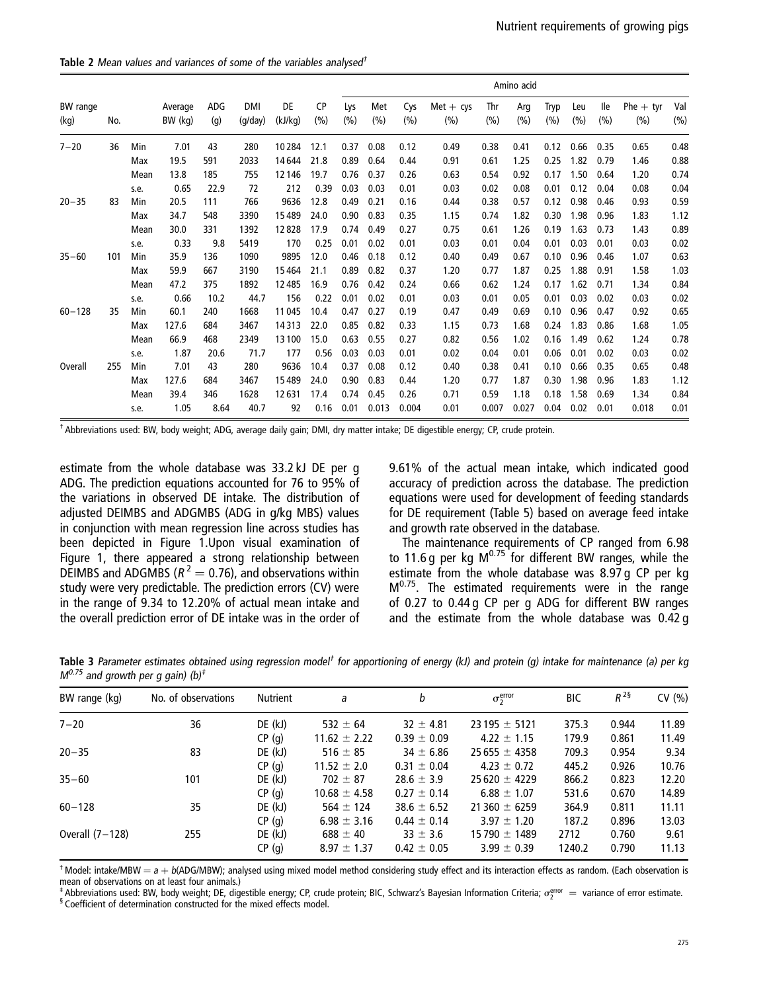Table 2 Mean values and variances of some of the variables analysed<sup>†</sup>

|                  |     |      |                    |            |                       |               |                   |            |            |            |                    |            | Amino acid |             |            |            |                    |             |
|------------------|-----|------|--------------------|------------|-----------------------|---------------|-------------------|------------|------------|------------|--------------------|------------|------------|-------------|------------|------------|--------------------|-------------|
| BW range<br>(kg) | No. |      | Average<br>BW (kg) | ADG<br>(q) | <b>DMI</b><br>(g/day) | DE<br>(kJ/kg) | <b>CP</b><br>(% ) | Lys<br>(%) | Met<br>(%) | Cys<br>(%) | $Met + cys$<br>(%) | Thr<br>(%) | Arg<br>(%) | Tryp<br>(%) | Leu<br>(%) | lle<br>(%) | $Phe + tyr$<br>(%) | Val<br>(% ) |
| $7 - 20$         | 36  | Min  | 7.01               | 43         | 280                   | 10284         | 12.1              | 0.37       | 0.08       | 0.12       | 0.49               | 0.38       | 0.41       | 0.12        | 0.66       | 0.35       | 0.65               | 0.48        |
|                  |     | Max  | 19.5               | 591        | 2033                  | 14644         | 21.8              | 0.89       | 0.64       | 0.44       | 0.91               | 0.61       | 1.25       | 0.25        | 1.82       | 0.79       | 1.46               | 0.88        |
|                  |     | Mean | 13.8               | 185        | 755                   | 12146         | 19.7              | 0.76       | 0.37       | 0.26       | 0.63               | 0.54       | 0.92       | 0.17        | 1.50       | 0.64       | 1.20               | 0.74        |
|                  |     | s.e. | 0.65               | 22.9       | 72                    | 212           | 0.39              | 0.03       | 0.03       | 0.01       | 0.03               | 0.02       | 0.08       | 0.01        | 0.12       | 0.04       | 0.08               | 0.04        |
| $20 - 35$        | 83  | Min  | 20.5               | 111        | 766                   | 9636          | 12.8              | 0.49       | 0.21       | 0.16       | 0.44               | 0.38       | 0.57       | 0.12        | 0.98       | 0.46       | 0.93               | 0.59        |
|                  |     | Max  | 34.7               | 548        | 3390                  | 15489         | 24.0              | 0.90       | 0.83       | 0.35       | 1.15               | 0.74       | 1.82       | 0.30        | 1.98       | 0.96       | 1.83               | 1.12        |
|                  |     | Mean | 30.0               | 331        | 1392                  | 12828         | 17.9              | 0.74       | 0.49       | 0.27       | 0.75               | 0.61       | 1.26       | 0.19        | 1.63       | 0.73       | 1.43               | 0.89        |
|                  |     | s.e. | 0.33               | 9.8        | 5419                  | 170           | 0.25              | 0.01       | 0.02       | 0.01       | 0.03               | 0.01       | 0.04       | 0.01        | 0.03       | 0.01       | 0.03               | 0.02        |
| $35 - 60$        | 101 | Min  | 35.9               | 136        | 1090                  | 9895          | 12.0              | 0.46       | 0.18       | 0.12       | 0.40               | 0.49       | 0.67       | 0.10        | 0.96       | 0.46       | 1.07               | 0.63        |
|                  |     | Max  | 59.9               | 667        | 3190                  | 15464         | 21.1              | 0.89       | 0.82       | 0.37       | 1.20               | 0.77       | 1.87       | 0.25        | 1.88       | 0.91       | 1.58               | 1.03        |
|                  |     | Mean | 47.2               | 375        | 1892                  | 12 4 8 5      | 16.9              | 0.76       | 0.42       | 0.24       | 0.66               | 0.62       | 1.24       | 0.17        | 1.62       | 0.71       | 1.34               | 0.84        |
|                  |     | s.e. | 0.66               | 10.2       | 44.7                  | 156           | 0.22              | 0.01       | 0.02       | 0.01       | 0.03               | 0.01       | 0.05       | 0.01        | 0.03       | 0.02       | 0.03               | 0.02        |
| $60 - 128$       | 35  | Min  | 60.1               | 240        | 1668                  | 11045         | 10.4              | 0.47       | 0.27       | 0.19       | 0.47               | 0.49       | 0.69       | 0.10        | 0.96       | 0.47       | 0.92               | 0.65        |
|                  |     | Max  | 127.6              | 684        | 3467                  | 14313         | 22.0              | 0.85       | 0.82       | 0.33       | 1.15               | 0.73       | 1.68       | 0.24        | 1.83       | 0.86       | 1.68               | 1.05        |
|                  |     | Mean | 66.9               | 468        | 2349                  | 13100         | 15.0              | 0.63       | 0.55       | 0.27       | 0.82               | 0.56       | 1.02       | 0.16        | 1.49       | 0.62       | 1.24               | 0.78        |
|                  |     | s.e. | 1.87               | 20.6       | 71.7                  | 177           | 0.56              | 0.03       | 0.03       | 0.01       | 0.02               | 0.04       | 0.01       | 0.06        | 0.01       | 0.02       | 0.03               | 0.02        |
| Overall          | 255 | Min  | 7.01               | 43         | 280                   | 9636          | 10.4              | 0.37       | 0.08       | 0.12       | 0.40               | 0.38       | 0.41       | 0.10        | 0.66       | 0.35       | 0.65               | 0.48        |
|                  |     | Max  | 127.6              | 684        | 3467                  | 15489         | 24.0              | 0.90       | 0.83       | 0.44       | 1.20               | 0.77       | 1.87       | 0.30        | 1.98       | 0.96       | 1.83               | 1.12        |
|                  |     | Mean | 39.4               | 346        | 1628                  | 12631         | 17.4              | 0.74       | 0.45       | 0.26       | 0.71               | 0.59       | 1.18       | 0.18        | 1.58       | 0.69       | 1.34               | 0.84        |
|                  |     | s.e. | 1.05               | 8.64       | 40.7                  | 92            | 0.16              | 0.01       | 0.013      | 0.004      | 0.01               | 0.007      | 0.027      | 0.04        | 0.02       | 0.01       | 0.018              | 0.01        |

† Abbreviations used: BW, body weight; ADG, average daily gain; DMI, dry matter intake; DE digestible energy; CP, crude protein.

estimate from the whole database was 33.2 kJ DE per g ADG. The prediction equations accounted for 76 to 95% of the variations in observed DE intake. The distribution of adjusted DEIMBS and ADGMBS (ADG in g/kg MBS) values in conjunction with mean regression line across studies has been depicted in Figure 1.Upon visual examination of Figure 1, there appeared a strong relationship between DEIMBS and ADGMBS ( $R^2 = 0.76$ ), and observations within study were very predictable. The prediction errors (CV) were in the range of 9.34 to 12.20% of actual mean intake and the overall prediction error of DE intake was in the order of 9.61% of the actual mean intake, which indicated good accuracy of prediction across the database. The prediction equations were used for development of feeding standards for DE requirement (Table 5) based on average feed intake and growth rate observed in the database.

The maintenance requirements of CP ranged from 6.98 to 11.6 g per kg  $M^{0.75}$  for different BW ranges, while the estimate from the whole database was 8.97 g CP per kg M<sup>0.75</sup>. The estimated requirements were in the range of 0.27 to 0.44 g CP per g ADG for different BW ranges and the estimate from the whole database was 0.42 g

| Table 3 Parameter estimates obtained using regression model <sup>†</sup> for apportioning of energy (kJ) and protein (g) intake for maintenance (a) per kg |  |  |  |  |  |
|------------------------------------------------------------------------------------------------------------------------------------------------------------|--|--|--|--|--|
| $M^{0.75}$ and growth per g gain) (b) <sup>‡</sup>                                                                                                         |  |  |  |  |  |

| BW range (kg)     | No. of observations | <b>Nutrient</b> | a                | b               | $\sigma_2^{\text{error}}$ | <b>BIC</b> | $R^{2\S}$ | CV(% ) |
|-------------------|---------------------|-----------------|------------------|-----------------|---------------------------|------------|-----------|--------|
| $7 - 20$          | 36                  | DE (kJ)         | 532 $\pm$ 64     | $32 \pm 4.81$   | $23195 \pm 5121$          | 375.3      | 0.944     | 11.89  |
|                   |                     | CP(g)           | $11.62 \pm 2.22$ | $0.39 \pm 0.09$ | $4.22 \pm 1.15$           | 179.9      | 0.861     | 11.49  |
| $20 - 35$         | 83                  | DE (kJ)         | 516 $\pm$ 85     | $34 \pm 6.86$   | $25655 \pm 4358$          | 709.3      | 0.954     | 9.34   |
|                   |                     | CP(g)           | $11.52 \pm 2.0$  | $0.31 \pm 0.04$ | $4.23 \pm 0.72$           | 445.2      | 0.926     | 10.76  |
| $35 - 60$         | 101                 | DE(kJ)          | $702 \pm 87$     | $28.6 \pm 3.9$  | $25620 \pm 4229$          | 866.2      | 0.823     | 12.20  |
|                   |                     | CP(g)           | $10.68 \pm 4.58$ | $0.27 \pm 0.14$ | $6.88 \pm 1.07$           | 531.6      | 0.670     | 14.89  |
| $60 - 128$        | 35                  | DE(kJ)          | $564 \pm 124$    | $38.6 \pm 6.52$ | $21360 \pm 6259$          | 364.9      | 0.811     | 11.11  |
|                   |                     | CP(g)           | $6.98 \pm 3.16$  | $0.44 \pm 0.14$ | $3.97 \pm 1.20$           | 187.2      | 0.896     | 13.03  |
| Overall $(7-128)$ | 255                 | DE (kJ)         | $688 \pm 40$     | $33 \pm 3.6$    | $15790 \pm 1489$          | 2712       | 0.760     | 9.61   |
|                   |                     | CP(g)           | $8.97 \pm 1.37$  | $0.42 \pm 0.05$ | $3.99 \pm 0.39$           | 1240.2     | 0.790     | 11.13  |

 $^\dagger$  Model: intake/MBW  $=$  a  $+$  b(ADG/MBW); analysed using mixed model method considering study effect and its interaction effects as random. (Each observation is mean of observations on at least four animals.)

‡ Abbreviations used: BW, body weight; DE, digestible energy; CP, crude protein; BIC, Schwarz's Bayesian Information Criteria; σ $_2^{\rm error} =$  variance of error estimate.<br>§ Coefficient of determination constructed for the mix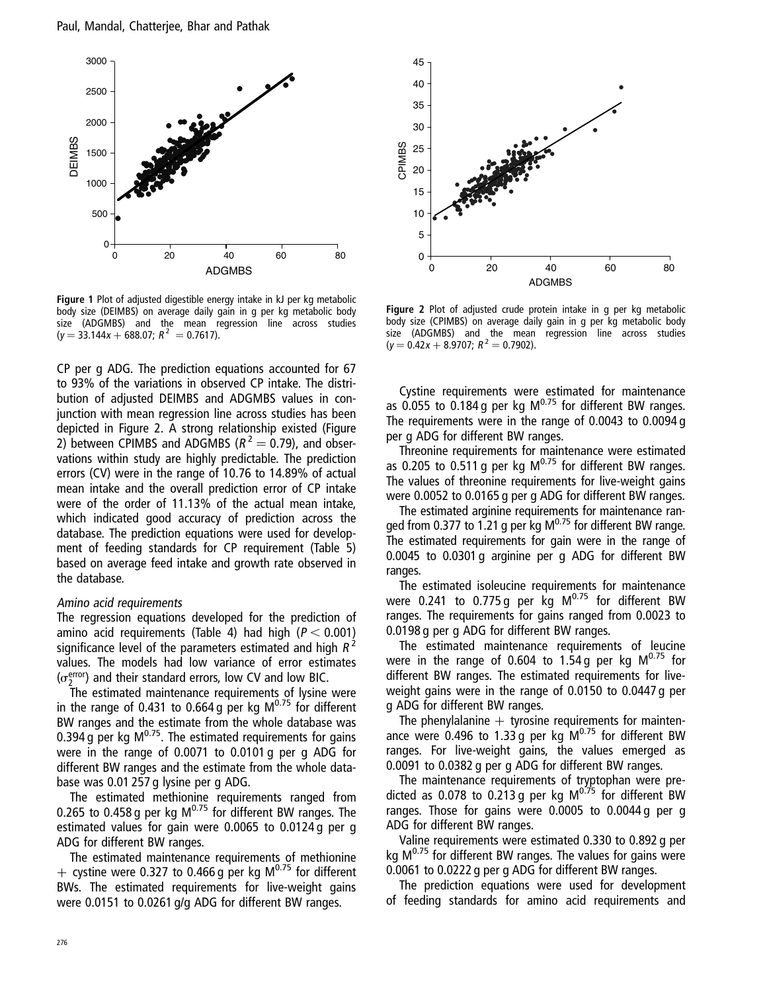

Figure 1 Plot of adjusted digestible energy intake in kJ per kg metabolic body size (DEIMBS) on average daily gain in g per kg metabolic body size (ADGMBS) and the mean regression line across studies  $(y = 33.144x + 688.07; R^2 = 0.7617).$ 

CP per g ADG. The prediction equations accounted for 67 to 93% of the variations in observed CP intake. The distribution of adjusted DEIMBS and ADGMBS values in conjunction with mean regression line across studies has been depicted in Figure 2. A strong relationship existed (Figure 2) between CPIMBS and ADGMBS ( $R^2 = 0.79$ ), and observations within study are highly predictable. The prediction errors (CV) were in the range of 10.76 to 14.89% of actual mean intake and the overall prediction error of CP intake were of the order of 11.13% of the actual mean intake, which indicated good accuracy of prediction across the database. The prediction equations were used for development of feeding standards for CP requirement (Table 5) based on average feed intake and growth rate observed in the database.

#### Amino acid requirements

The regression equations developed for the prediction of amino acid requirements (Table 4) had high ( $P < 0.001$ ) significance level of the parameters estimated and high  $R^2$ values. The models had low variance of error estimates  $(\sigma_2^{\text{error}})$  and their standard errors, low CV and low BIC.

The estimated maintenance requirements of lysine were in the range of 0.431 to 0.664 g per kg  $M^{0.75}$  for different BW ranges and the estimate from the whole database was 0.394 g per kg  $M^{0.75}$ . The estimated requirements for gains were in the range of 0.0071 to 0.0101 g per g ADG for different BW ranges and the estimate from the whole database was 0.01 257 g lysine per g ADG.

The estimated methionine requirements ranged from 0.265 to 0.458 g per kg M<sup>0.75</sup> for different BW ranges. The estimated values for gain were 0.0065 to 0.0124 g per g ADG for different BW ranges.

The estimated maintenance requirements of methionine + cystine were 0.327 to 0.466 g per kg  $M^{0.75}$  for different BWs. The estimated requirements for live-weight gains were 0.0151 to 0.0261 g/g ADG for different BW ranges.



Figure 2 Plot of adjusted crude protein intake in g per kg metabolic body size (CPIMBS) on average daily gain in g per kg metabolic body size (ADGMBS) and the mean regression line across studies  $(y = 0.42x + 8.9707; R^2 = 0.7902).$ 

Cystine requirements were estimated for maintenance as 0.055 to 0.184 g per kg  $M^{0.75}$  for different BW ranges. The requirements were in the range of 0.0043 to 0.0094 g per g ADG for different BW ranges.

Threonine requirements for maintenance were estimated as 0.205 to 0.511 g per kg  $M^{0.75}$  for different BW ranges. The values of threonine requirements for live-weight gains were 0.0052 to 0.0165 g per g ADG for different BW ranges.

The estimated arginine requirements for maintenance ranged from 0.377 to 1.21 g per kg  $M^{0.75}$  for different BW range. The estimated requirements for gain were in the range of 0.0045 to 0.0301 g arginine per g ADG for different BW ranges.

The estimated isoleucine requirements for maintenance were 0.241 to 0.775 g per kg  $M^{0.75}$  for different BW ranges. The requirements for gains ranged from 0.0023 to 0.0198 g per g ADG for different BW ranges.

The estimated maintenance requirements of leucine were in the range of 0.604 to 1.54 g per kg  $M^{0.75}$  for different BW ranges. The estimated requirements for liveweight gains were in the range of 0.0150 to 0.0447 g per g ADG for different BW ranges.

The phenylalanine  $+$  tyrosine requirements for maintenance were 0.496 to 1.33 g per kg  $M^{0.75}$  for different BW ranges. For live-weight gains, the values emerged as 0.0091 to 0.0382 g per g ADG for different BW ranges.

The maintenance requirements of tryptophan were predicted as 0.078 to 0.213 g per kg  $M^{0.75}$  for different BW ranges. Those for gains were 0.0005 to 0.0044 g per g ADG for different BW ranges.

Valine requirements were estimated 0.330 to 0.892 g per kg  $M^{0.75}$  for different BW ranges. The values for gains were 0.0061 to 0.0222 g per g ADG for different BW ranges.

The prediction equations were used for development of feeding standards for amino acid requirements and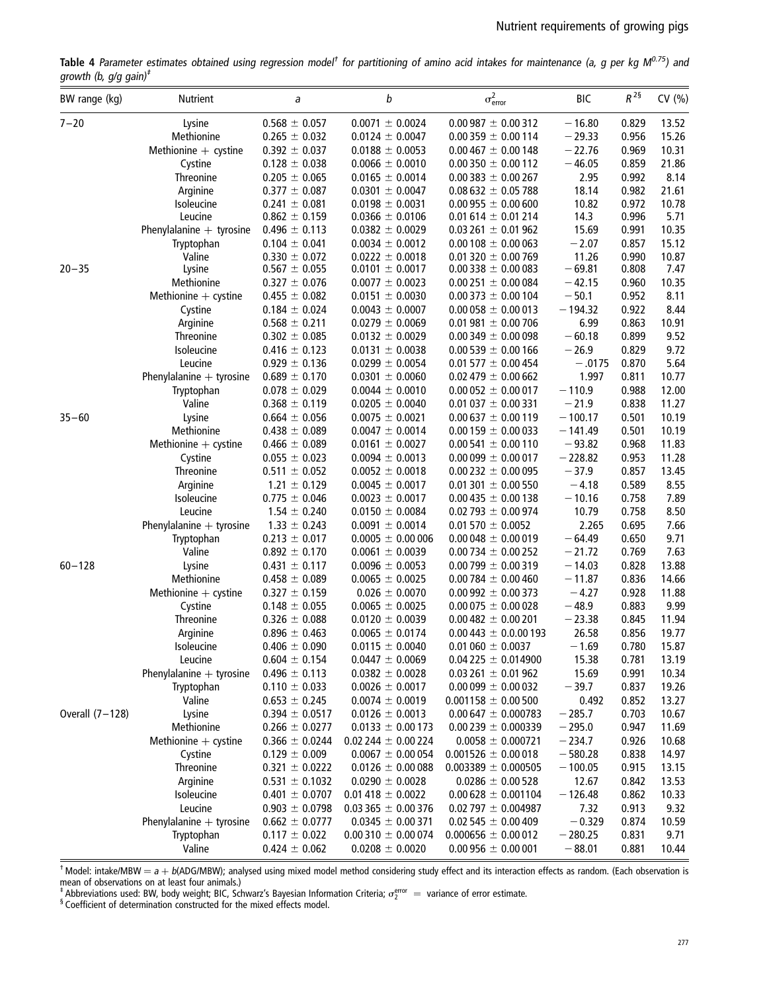Table 4 Parameter estimates obtained using regression model<sup>t</sup> for partitioning of amino acid intakes for maintenance (a, g per kg M<sup>0.75</sup>) and growth (b,  $g/g$  gain)<sup> $t$ </sup>

| BW range (kg)   | Nutrient                   | a                                      | b                                          | $\sigma_{\text{error}}^2$                          | <b>BIC</b>        | $R^{\,2\,\S}$  | CV (%)        |
|-----------------|----------------------------|----------------------------------------|--------------------------------------------|----------------------------------------------------|-------------------|----------------|---------------|
| $7 - 20$        | Lysine                     | $0.568 \pm 0.057$                      | $0.0071 \pm 0.0024$                        | $0.00987 \pm 0.00312$                              | $-16.80$          | 0.829          | 13.52         |
|                 | Methionine                 | $0.265 \pm 0.032$                      | $0.0124 \pm 0.0047$                        | $0.00359 \pm 0.00114$                              | $-29.33$          | 0.956          | 15.26         |
|                 | Methionine $+$ cystine     | $0.392 \pm 0.037$                      | $0.0188 \pm 0.0053$                        | $0.00467 \pm 0.00148$                              | $-22.76$          | 0.969          | 10.31         |
|                 | Cystine                    | $0.128 \pm 0.038$                      | $0.0066 \pm 0.0010$                        | $0.00350 \pm 0.00112$                              | $-46.05$          | 0.859          | 21.86         |
|                 | Threonine                  | $0.205 \pm 0.065$                      | $0.0165 \pm 0.0014$                        | $0.00383 \pm 0.00267$                              | 2.95              | 0.992          | 8.14          |
|                 | Arginine                   | $0.377 \pm 0.087$                      | $0.0301 \pm 0.0047$                        | $0.08632 \pm 0.05788$                              | 18.14             | 0.982          | 21.61         |
|                 | Isoleucine                 | $0.241 \pm 0.081$                      | $0.0198 \pm 0.0031$                        | $0.00955 \pm 0.00600$                              | 10.82             | 0.972          | 10.78         |
|                 | Leucine                    | $0.862 \pm 0.159$                      | $0.0366 \pm 0.0106$                        | $0.01614 \pm 0.01214$                              | 14.3              | 0.996          | 5.71          |
|                 | Phenylalanine $+$ tyrosine | $0.496 \pm 0.113$                      | $0.0382 \pm 0.0029$                        | $0.03261 \pm 0.01962$                              | 15.69             | 0.991          | 10.35         |
|                 | Tryptophan                 | $0.104 \pm 0.041$                      | $0.0034 \pm 0.0012$                        | $0.00108 \pm 0.00063$                              | $-2.07$           | 0.857          | 15.12         |
| $20 - 35$       | Valine<br>Lysine           | $0.330 \pm 0.072$<br>$0.567 \pm 0.055$ | $0.0222 \pm 0.0018$<br>$0.0101 \pm 0.0017$ | $0.01$ 320 $\pm$ 0.00 769<br>$0.00338 \pm 0.00083$ | 11.26<br>$-69.81$ | 0.990<br>0.808 | 10.87<br>7.47 |
|                 | Methionine                 | $0.327 \pm 0.076$                      | $0.0077 \pm 0.0023$                        | $0.00251 \pm 0.00084$                              | $-42.15$          | 0.960          | 10.35         |
|                 | Methionine $+$ cystine     | $0.455 \pm 0.082$                      | $0.0151 \pm 0.0030$                        | $0.00373 \pm 0.00104$                              | $-50.1$           | 0.952          | 8.11          |
|                 | Cystine                    | $0.184 \pm 0.024$                      | $0.0043 \pm 0.0007$                        | $0.00058 \pm 0.00013$                              | $-194.32$         | 0.922          | 8.44          |
|                 | Arginine                   | $0.568 \pm 0.211$                      | $0.0279 \pm 0.0069$                        | $0.01981 \pm 0.00706$                              | 6.99              | 0.863          | 10.91         |
|                 | <b>Threonine</b>           | $0.302 \pm 0.085$                      | $0.0132 \pm 0.0029$                        | $0.00349 \pm 0.00098$                              | $-60.18$          | 0.899          | 9.52          |
|                 | Isoleucine                 | $0.416 \pm 0.123$                      | $0.0131 \pm 0.0038$                        | $0.00539 \pm 0.00166$                              | $-26.9$           | 0.829          | 9.72          |
|                 | Leucine                    | $0.929 \pm 0.136$                      | $0.0299 \pm 0.0054$                        | $0.01577 \pm 0.00454$                              | $-.0175$          | 0.870          | 5.64          |
|                 | Phenylalanine $+$ tyrosine | $0.689 \pm 0.170$                      | $0.0301 \pm 0.0060$                        | $0.02479 \pm 0.00662$                              | 1.997             | 0.811          | 10.77         |
|                 | Tryptophan                 | $0.078 \pm 0.029$                      | $0.0044 \pm 0.0010$                        | $0.00052 \pm 0.00017$                              | $-110.9$          | 0.988          | 12.00         |
|                 | Valine                     | $0.368 \pm 0.119$                      | $0.0205 \pm 0.0040$                        | $0.01037 \pm 0.00331$                              | $-21.9$           | 0.838          | 11.27         |
| $35 - 60$       | Lysine                     | $0.664 \pm 0.056$                      | $0.0075 \pm 0.0021$                        | $0.00637 \pm 0.00119$                              | $-100.17$         | 0.501          | 10.19         |
|                 | Methionine                 | $0.438 \pm 0.089$                      | $0.0047 \pm 0.0014$                        | $0.00159 \pm 0.00033$                              | $-141.49$         | 0.501          | 10.19         |
|                 | Methionine $+$ cystine     | $0.466 \pm 0.089$                      | $0.0161 \pm 0.0027$                        | $0.00541 \pm 0.00110$                              | $-93.82$          | 0.968          | 11.83         |
|                 | Cystine                    | $0.055 \pm 0.023$                      | $0.0094 \pm 0.0013$                        | $0.00099 \pm 0.00017$                              | $-228.82$         | 0.953          | 11.28         |
|                 | Threonine                  | $0.511 \pm 0.052$                      | $0.0052 \pm 0.0018$                        | $0.00232 \pm 0.00095$                              | $-37.9$           | 0.857          | 13.45         |
|                 | Arginine                   | $1.21 \pm 0.129$                       | $0.0045 \pm 0.0017$                        | $0.01301 \pm 0.00550$                              | $-4.18$           | 0.589          | 8.55          |
|                 | Isoleucine                 | $0.775 \pm 0.046$                      | $0.0023 \pm 0.0017$                        | $0.00435 \pm 0.00138$                              | $-10.16$          | 0.758          | 7.89          |
|                 | Leucine                    | $1.54 \pm 0.240$                       | $0.0150 \pm 0.0084$                        | $0.02793 \pm 0.00974$                              | 10.79             | 0.758          | 8.50          |
|                 | Phenylalanine $+$ tyrosine | $1.33 \pm 0.243$                       | $0.0091 \pm 0.0014$                        | $0.01570 \pm 0.0052$                               | 2.265             | 0.695          | 7.66          |
|                 | Tryptophan                 | $0.213 \pm 0.017$                      | $0.0005 \pm 0.00006$                       | $0.00048 \pm 0.00019$                              | $-64.49$          | 0.650          | 9.71          |
|                 | Valine                     | $0.892 \pm 0.170$                      | $0.0061 \pm 0.0039$                        | $0.00734 \pm 0.00252$                              | $-21.72$          | 0.769          | 7.63          |
| $60 - 128$      | Lysine                     | $0.431 \pm 0.117$                      | $0.0096 \pm 0.0053$                        | $0.00799 \pm 0.00319$                              | $-14.03$          | 0.828          | 13.88         |
|                 | Methionine                 | $0.458 \pm 0.089$                      | $0.0065 \pm 0.0025$                        | $0.00784 \pm 0.00460$                              | $-11.87$          | 0.836          | 14.66         |
|                 | Methionine $+$ cystine     | $0.327 \pm 0.159$                      | $0.026 \pm 0.0070$                         | $0.00992 \pm 0.00373$                              | $-4.27$           | 0.928          | 11.88         |
|                 | Cystine                    | $0.148 \pm 0.055$                      | $0.0065 \pm 0.0025$                        | $0.00075 \pm 0.00028$                              | $-48.9$           | 0.883          | 9.99          |
|                 | <b>Threonine</b>           | $0.326 \pm 0.088$                      | $0.0120 \pm 0.0039$                        | $0.00482 \pm 0.00201$                              | $-23.38$          | 0.845          | 11.94         |
|                 | Arginine                   | $0.896 \pm 0.463$                      | $0.0065 \pm 0.0174$                        | $0.00443 \pm 0.0.00193$                            | 26.58             | 0.856          | 19.77         |
|                 | Isoleucine                 | $0.406 \pm 0.090$                      | $0.0115 \pm 0.0040$                        | $0.01060 \pm 0.0037$                               | $-1.69$           | 0.780          | 15.87         |
|                 | Leucine                    | $0.604 \pm 0.154$                      | $0.0447 \pm 0.0069$                        | $0.04225 \pm 0.014900$                             | 15.38             | 0.781          | 13.19         |
|                 | Phenylalanine $+$ tyrosine | $0.496 \pm 0.113$                      | $0.0382 \pm 0.0028$                        | $0.03261 \pm 0.01962$                              | 15.69             | 0.991          | 10.34         |
|                 | Tryptophan                 | $0.110 \pm 0.033$                      | $0.0026 \pm 0.0017$                        | $0.00099 \pm 0.00032$                              | $-39.7$           | 0.837          | 19.26         |
|                 | Valine                     | $0.653 \pm 0.245$                      | $0.0074 \pm 0.0019$                        | $0.001158 \pm 0.00500$                             | 0.492             | 0.852          | 13.27         |
| Overall (7-128) | Lysine                     | $0.394 \pm 0.0517$                     | $0.0126 \pm 0.0013$                        | $0.00647 \pm 0.000783$                             | $-285.7$          | 0.703          | 10.67         |
|                 | Methionine                 | $0.266 \pm 0.0277$                     | $0.0133 \pm 0.00173$                       | $0.00239 \pm 0.000339$                             | $-295.0$          | 0.947          | 11.69         |
|                 | Methionine $+$ cystine     | $0.366 \pm 0.0244$                     | $0.02244 \pm 0.00224$                      | $0.0058 \pm 0.000721$                              | $-234.7$          | 0.926          | 10.68         |
|                 | Cystine                    | $0.129 \pm 0.009$                      | $0.0067 \pm 0.00054$                       | $0.001526 \pm 0.00018$                             | $-580.28$         | 0.838          | 14.97         |
|                 | Threonine                  | $0.321 \pm 0.0222$                     | $0.0126 \pm 0.00088$                       | $0.003389 \pm 0.000505$                            | $-100.05$         | 0.915          | 13.15         |
|                 | Arginine                   | $0.531 \pm 0.1032$                     | $0.0290 \pm 0.0028$                        | $0.0286 \pm 0.00528$                               | 12.67             | 0.842          | 13.53         |
|                 | Isoleucine                 | $0.401 \pm 0.0707$                     | $0.01418 \pm 0.0022$                       | $0.00628 \pm 0.001104$                             | $-126.48$         | 0.862          | 10.33         |
|                 | Leucine                    | $0.903 \pm 0.0798$                     | $0.03365 \pm 0.00376$                      | $0.02797 \pm 0.004987$                             | 7.32              | 0.913          | 9.32          |
|                 | Phenylalanine $+$ tyrosine | $0.662 \pm 0.0777$                     | $0.0345 \pm 0.00371$                       | $0.02545 \pm 0.00409$                              | $-0.329$          | 0.874          | 10.59         |
|                 | Tryptophan                 | $0.117 \pm 0.022$                      | $0.00310 \pm 0.00074$                      | $0.000656 \pm 0.00012$                             | $-280.25$         | 0.831          | 9.71          |
|                 | Valine                     | $0.424 \pm 0.062$                      | $0.0208 \pm 0.0020$                        | $0.00956 \pm 0.00001$                              | $-88.01$          | 0.881          | 10.44         |

 $^\dagger$  Model: intake/MBW  $=$  a  $+$  b(ADG/MBW); analysed using mixed model method considering study effect and its interaction effects as random. (Each observation is mean of observations on at least four animals.)<br><sup>‡</sup> Abbreviations used: BW, body weight; BIC, Schwarz's Bayesian Information Criteria;  $\sigma_2^{\text{error}}~=~$  variance of error estimate.<br><sup>§</sup> Coefficient of determination constructed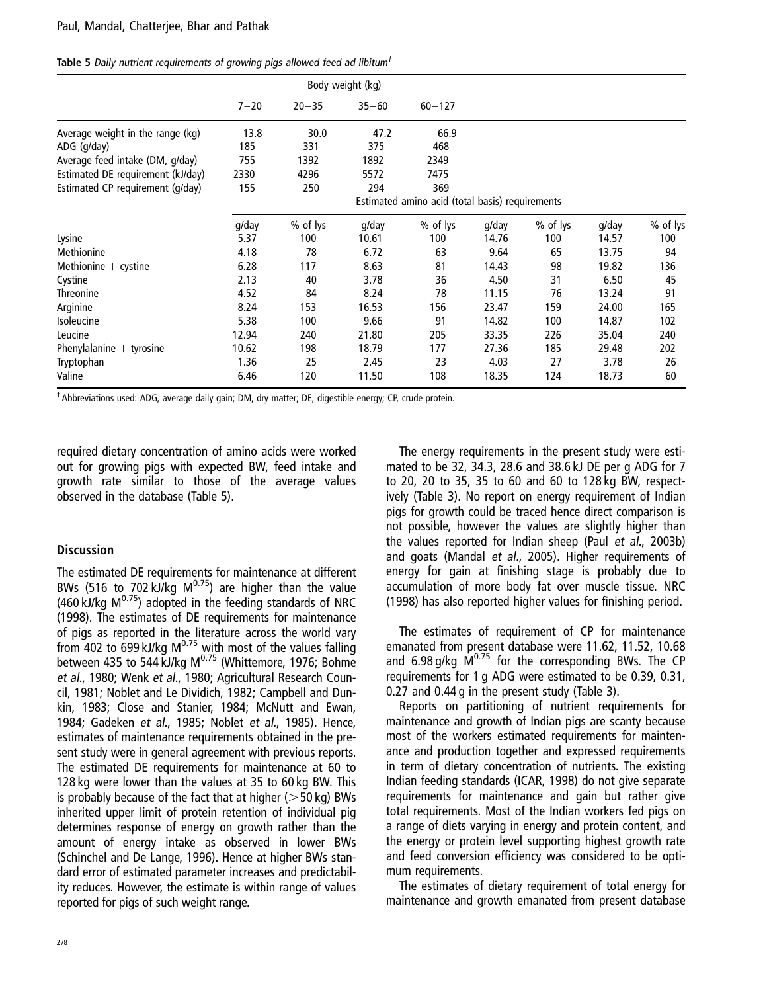|  | Table 5 Daily nutrient requirements of growing pigs allowed feed ad libitum <sup>t</sup> |  |  |  |  |
|--|------------------------------------------------------------------------------------------|--|--|--|--|
|  |                                                                                          |  |  |  |  |

|                                   |          |           | Body weight (kg) |                                                 |       |          |       |          |
|-----------------------------------|----------|-----------|------------------|-------------------------------------------------|-------|----------|-------|----------|
|                                   | $7 - 20$ | $20 - 35$ | $35 - 60$        | $60 - 127$                                      |       |          |       |          |
| Average weight in the range (kg)  | 13.8     | 30.0      | 47.2             | 66.9                                            |       |          |       |          |
| ADG (g/day)                       | 185      | 331       | 375              | 468                                             |       |          |       |          |
| Average feed intake (DM, g/day)   | 755      | 1392      | 1892             | 2349                                            |       |          |       |          |
| Estimated DE requirement (kJ/day) | 2330     | 4296      | 5572             | 7475                                            |       |          |       |          |
| Estimated CP requirement (g/day)  | 155      | 250       | 294              | 369                                             |       |          |       |          |
|                                   |          |           |                  | Estimated amino acid (total basis) requirements |       |          |       |          |
|                                   | g/day    | % of lys  | g/day            | % of lys                                        | g/day | % of lys | g/day | % of lys |
| Lysine                            | 5.37     | 100       | 10.61            | 100                                             | 14.76 | 100      | 14.57 | 100      |
| Methionine                        | 4.18     | 78        | 6.72             | 63                                              | 9.64  | 65       | 13.75 | 94       |
| Methionine $+$ cystine            | 6.28     | 117       | 8.63             | 81                                              | 14.43 | 98       | 19.82 | 136      |
| Cystine                           | 2.13     | 40        | 3.78             | 36                                              | 4.50  | 31       | 6.50  | 45       |
| <b>Threonine</b>                  | 4.52     | 84        | 8.24             | 78                                              | 11.15 | 76       | 13.24 | 91       |
| Arginine                          | 8.24     | 153       | 16.53            | 156                                             | 23.47 | 159      | 24.00 | 165      |
| <b>Isoleucine</b>                 | 5.38     | 100       | 9.66             | 91                                              | 14.82 | 100      | 14.87 | 102      |
| Leucine                           | 12.94    | 240       | 21.80            | 205                                             | 33.35 | 226      | 35.04 | 240      |
| Phenylalanine $+$ tyrosine        | 10.62    | 198       | 18.79            | 177                                             | 27.36 | 185      | 29.48 | 202      |
| Tryptophan                        | 1.36     | 25        | 2.45             | 23                                              | 4.03  | 27       | 3.78  | 26       |
| Valine                            | 6.46     | 120       | 11.50            | 108                                             | 18.35 | 124      | 18.73 | 60       |

† Abbreviations used: ADG, average daily gain; DM, dry matter; DE, digestible energy; CP, crude protein.

required dietary concentration of amino acids were worked out for growing pigs with expected BW, feed intake and growth rate similar to those of the average values observed in the database (Table 5).

#### **Discussion**

The estimated DE requirements for maintenance at different BWs (516 to 702 kJ/kg  $M^{0.75}$ ) are higher than the value (460 kJ/kg  $M^{0.75}$ ) adopted in the feeding standards of NRC (1998). The estimates of DE requirements for maintenance of pigs as reported in the literature across the world vary from 402 to 699 kJ/kg  $M^{0.75}$  with most of the values falling between 435 to 544 kJ/kg M<sup>0.75</sup> (Whittemore, 1976; Bohme et al., 1980; Wenk et al., 1980; Agricultural Research Council, 1981; Noblet and Le Dividich, 1982; Campbell and Dunkin, 1983; Close and Stanier, 1984; McNutt and Ewan, 1984; Gadeken et al., 1985; Noblet et al., 1985). Hence, estimates of maintenance requirements obtained in the present study were in general agreement with previous reports. The estimated DE requirements for maintenance at 60 to 128 kg were lower than the values at 35 to 60 kg BW. This is probably because of the fact that at higher  $(>50 \text{ kg})$  BWs inherited upper limit of protein retention of individual pig determines response of energy on growth rather than the amount of energy intake as observed in lower BWs (Schinchel and De Lange, 1996). Hence at higher BWs standard error of estimated parameter increases and predictability reduces. However, the estimate is within range of values reported for pigs of such weight range.

The energy requirements in the present study were estimated to be 32, 34.3, 28.6 and 38.6 kJ DE per g ADG for 7 to 20, 20 to 35, 35 to 60 and 60 to 128 kg BW, respectively (Table 3). No report on energy requirement of Indian pigs for growth could be traced hence direct comparison is not possible, however the values are slightly higher than the values reported for Indian sheep (Paul et al., 2003b) and goats (Mandal et al., 2005). Higher requirements of energy for gain at finishing stage is probably due to accumulation of more body fat over muscle tissue. NRC (1998) has also reported higher values for finishing period.

The estimates of requirement of CP for maintenance emanated from present database were 11.62, 11.52, 10.68 and 6.98 g/kg  $M^{0.75}$  for the corresponding BWs. The CP requirements for 1 g ADG were estimated to be 0.39, 0.31, 0.27 and 0.44 g in the present study (Table 3).

Reports on partitioning of nutrient requirements for maintenance and growth of Indian pigs are scanty because most of the workers estimated requirements for maintenance and production together and expressed requirements in term of dietary concentration of nutrients. The existing Indian feeding standards (ICAR, 1998) do not give separate requirements for maintenance and gain but rather give total requirements. Most of the Indian workers fed pigs on a range of diets varying in energy and protein content, and the energy or protein level supporting highest growth rate and feed conversion efficiency was considered to be optimum requirements.

The estimates of dietary requirement of total energy for maintenance and growth emanated from present database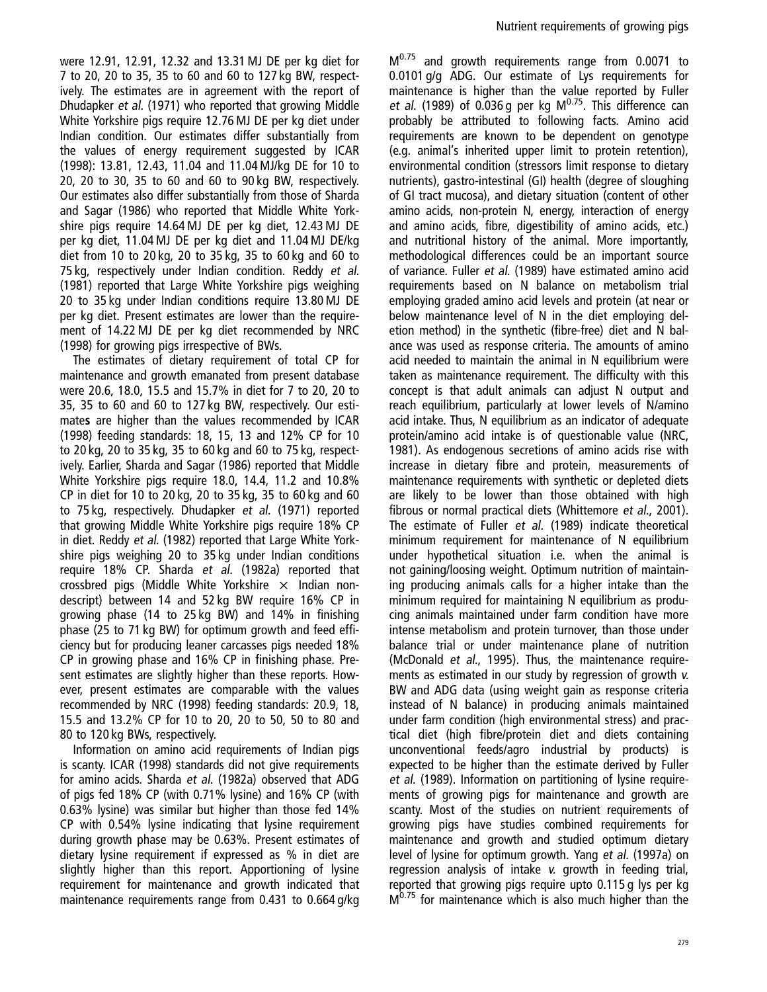were 12.91, 12.91, 12.32 and 13.31 MJ DE per kg diet for 7 to 20, 20 to 35, 35 to 60 and 60 to 127 kg BW, respectively. The estimates are in agreement with the report of Dhudapker et al. (1971) who reported that growing Middle White Yorkshire pigs require 12.76 MJ DE per kg diet under Indian condition. Our estimates differ substantially from the values of energy requirement suggested by ICAR (1998): 13.81, 12.43, 11.04 and 11.04 MJ/kg DE for 10 to 20, 20 to 30, 35 to 60 and 60 to 90 kg BW, respectively. Our estimates also differ substantially from those of Sharda and Sagar (1986) who reported that Middle White Yorkshire pigs require 14.64 MJ DE per kg diet, 12.43 MJ DE per kg diet, 11.04 MJ DE per kg diet and 11.04 MJ DE/kg diet from 10 to 20 kg, 20 to 35 kg, 35 to 60 kg and 60 to 75 kg, respectively under Indian condition. Reddy et al. (1981) reported that Large White Yorkshire pigs weighing 20 to 35 kg under Indian conditions require 13.80 MJ DE per kg diet. Present estimates are lower than the requirement of 14.22 MJ DE per kg diet recommended by NRC (1998) for growing pigs irrespective of BWs.

The estimates of dietary requirement of total CP for maintenance and growth emanated from present database were 20.6, 18.0, 15.5 and 15.7% in diet for 7 to 20, 20 to 35, 35 to 60 and 60 to 127 kg BW, respectively. Our estimates are higher than the values recommended by ICAR (1998) feeding standards: 18, 15, 13 and 12% CP for 10 to 20 kg, 20 to 35 kg, 35 to 60 kg and 60 to 75 kg, respectively. Earlier, Sharda and Sagar (1986) reported that Middle White Yorkshire pigs require 18.0, 14.4, 11.2 and 10.8% CP in diet for 10 to 20 kg, 20 to 35 kg, 35 to 60 kg and 60 to 75 kg, respectively. Dhudapker et al. (1971) reported that growing Middle White Yorkshire pigs require 18% CP in diet. Reddy et al. (1982) reported that Large White Yorkshire pigs weighing 20 to 35 kg under Indian conditions require 18% CP. Sharda et al. (1982a) reported that crossbred pigs (Middle White Yorkshire  $\times$  Indian nondescript) between 14 and 52 kg BW require 16% CP in growing phase (14 to 25 kg BW) and 14% in finishing phase (25 to 71 kg BW) for optimum growth and feed efficiency but for producing leaner carcasses pigs needed 18% CP in growing phase and 16% CP in finishing phase. Present estimates are slightly higher than these reports. However, present estimates are comparable with the values recommended by NRC (1998) feeding standards: 20.9, 18, 15.5 and 13.2% CP for 10 to 20, 20 to 50, 50 to 80 and 80 to 120 kg BWs, respectively.

Information on amino acid requirements of Indian pigs is scanty. ICAR (1998) standards did not give requirements for amino acids. Sharda et al. (1982a) observed that ADG of pigs fed 18% CP (with 0.71% lysine) and 16% CP (with 0.63% lysine) was similar but higher than those fed 14% CP with 0.54% lysine indicating that lysine requirement during growth phase may be 0.63%. Present estimates of dietary lysine requirement if expressed as % in diet are slightly higher than this report. Apportioning of lysine requirement for maintenance and growth indicated that maintenance requirements range from 0.431 to 0.664 g/kg  $M<sup>0.75</sup>$  and growth requirements range from 0.0071 to 0.0101 g/g ADG. Our estimate of Lys requirements for maintenance is higher than the value reported by Fuller et al. (1989) of 0.036 g per kg  $M^{0.75}$ . This difference can probably be attributed to following facts. Amino acid requirements are known to be dependent on genotype (e.g. animal's inherited upper limit to protein retention), environmental condition (stressors limit response to dietary nutrients), gastro-intestinal (GI) health (degree of sloughing of GI tract mucosa), and dietary situation (content of other amino acids, non-protein N, energy, interaction of energy and amino acids, fibre, digestibility of amino acids, etc.) and nutritional history of the animal. More importantly, methodological differences could be an important source of variance. Fuller et al. (1989) have estimated amino acid requirements based on N balance on metabolism trial employing graded amino acid levels and protein (at near or below maintenance level of N in the diet employing deletion method) in the synthetic (fibre-free) diet and N balance was used as response criteria. The amounts of amino acid needed to maintain the animal in N equilibrium were taken as maintenance requirement. The difficulty with this concept is that adult animals can adjust N output and reach equilibrium, particularly at lower levels of N/amino acid intake. Thus, N equilibrium as an indicator of adequate protein/amino acid intake is of questionable value (NRC, 1981). As endogenous secretions of amino acids rise with increase in dietary fibre and protein, measurements of maintenance requirements with synthetic or depleted diets are likely to be lower than those obtained with high fibrous or normal practical diets (Whittemore et al., 2001). The estimate of Fuller et al. (1989) indicate theoretical minimum requirement for maintenance of N equilibrium under hypothetical situation i.e. when the animal is not gaining/loosing weight. Optimum nutrition of maintaining producing animals calls for a higher intake than the minimum required for maintaining N equilibrium as producing animals maintained under farm condition have more intense metabolism and protein turnover, than those under balance trial or under maintenance plane of nutrition (McDonald et al., 1995). Thus, the maintenance requirements as estimated in our study by regression of growth v. BW and ADG data (using weight gain as response criteria instead of N balance) in producing animals maintained under farm condition (high environmental stress) and practical diet (high fibre/protein diet and diets containing unconventional feeds/agro industrial by products) is expected to be higher than the estimate derived by Fuller et al. (1989). Information on partitioning of lysine requirements of growing pigs for maintenance and growth are scanty. Most of the studies on nutrient requirements of growing pigs have studies combined requirements for maintenance and growth and studied optimum dietary level of lysine for optimum growth. Yang et al. (1997a) on regression analysis of intake v. growth in feeding trial, reported that growing pigs require upto 0.115 g lys per kg M<sup>0.75</sup> for maintenance which is also much higher than the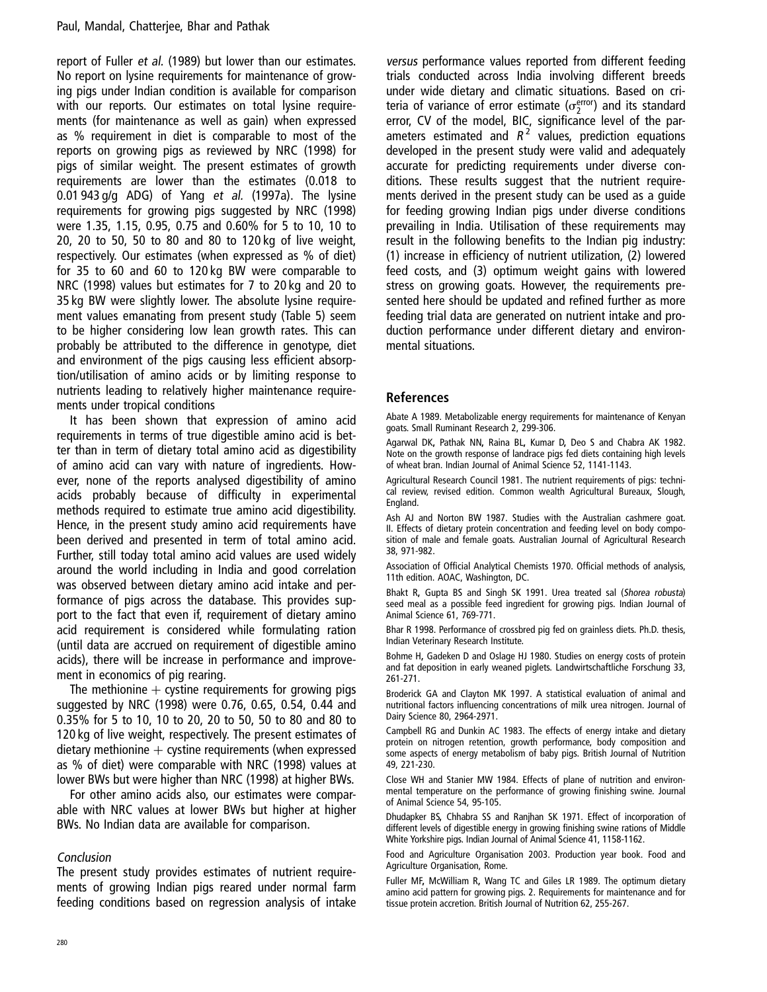report of Fuller et al. (1989) but lower than our estimates. No report on lysine requirements for maintenance of growing pigs under Indian condition is available for comparison with our reports. Our estimates on total lysine requirements (for maintenance as well as gain) when expressed as % requirement in diet is comparable to most of the reports on growing pigs as reviewed by NRC (1998) for pigs of similar weight. The present estimates of growth requirements are lower than the estimates (0.018 to 0.01 943 g/g ADG) of Yang et al. (1997a). The lysine requirements for growing pigs suggested by NRC (1998) were 1.35, 1.15, 0.95, 0.75 and 0.60% for 5 to 10, 10 to 20, 20 to 50, 50 to 80 and 80 to 120 kg of live weight, respectively. Our estimates (when expressed as % of diet) for 35 to 60 and 60 to 120 kg BW were comparable to NRC (1998) values but estimates for 7 to 20 kg and 20 to 35 kg BW were slightly lower. The absolute lysine requirement values emanating from present study (Table 5) seem to be higher considering low lean growth rates. This can probably be attributed to the difference in genotype, diet and environment of the pigs causing less efficient absorption/utilisation of amino acids or by limiting response to nutrients leading to relatively higher maintenance requirements under tropical conditions

It has been shown that expression of amino acid requirements in terms of true digestible amino acid is better than in term of dietary total amino acid as digestibility of amino acid can vary with nature of ingredients. However, none of the reports analysed digestibility of amino acids probably because of difficulty in experimental methods required to estimate true amino acid digestibility. Hence, in the present study amino acid requirements have been derived and presented in term of total amino acid. Further, still today total amino acid values are used widely around the world including in India and good correlation was observed between dietary amino acid intake and performance of pigs across the database. This provides support to the fact that even if, requirement of dietary amino acid requirement is considered while formulating ration (until data are accrued on requirement of digestible amino acids), there will be increase in performance and improvement in economics of pig rearing.

The methionine  $+$  cystine requirements for growing pigs suggested by NRC (1998) were 0.76, 0.65, 0.54, 0.44 and 0.35% for 5 to 10, 10 to 20, 20 to 50, 50 to 80 and 80 to 120 kg of live weight, respectively. The present estimates of dietary methionine  $+$  cystine requirements (when expressed as % of diet) were comparable with NRC (1998) values at lower BWs but were higher than NRC (1998) at higher BWs.

For other amino acids also, our estimates were comparable with NRC values at lower BWs but higher at higher BWs. No Indian data are available for comparison.

#### Conclusion

The present study provides estimates of nutrient requirements of growing Indian pigs reared under normal farm feeding conditions based on regression analysis of intake versus performance values reported from different feeding trials conducted across India involving different breeds under wide dietary and climatic situations. Based on criteria of variance of error estimate ( $\sigma_2^{\text{error}}$ ) and its standard error, CV of the model, BIC, significance level of the parameters estimated and  $R^2$  values, prediction equations developed in the present study were valid and adequately accurate for predicting requirements under diverse conditions. These results suggest that the nutrient requirements derived in the present study can be used as a guide for feeding growing Indian pigs under diverse conditions prevailing in India. Utilisation of these requirements may result in the following benefits to the Indian pig industry: (1) increase in efficiency of nutrient utilization, (2) lowered feed costs, and (3) optimum weight gains with lowered stress on growing goats. However, the requirements presented here should be updated and refined further as more feeding trial data are generated on nutrient intake and production performance under different dietary and environmental situations.

#### References

Abate A 1989. Metabolizable energy requirements for maintenance of Kenyan goats. Small Ruminant Research 2, 299-306.

Agarwal DK, Pathak NN, Raina BL, Kumar D, Deo S and Chabra AK 1982. Note on the growth response of landrace pigs fed diets containing high levels of wheat bran. Indian Journal of Animal Science 52, 1141-1143.

Agricultural Research Council 1981. The nutrient requirements of pigs: technical review, revised edition. Common wealth Agricultural Bureaux, Slough, England.

Ash AJ and Norton BW 1987. Studies with the Australian cashmere goat. II. Effects of dietary protein concentration and feeding level on body composition of male and female goats. Australian Journal of Agricultural Research 38, 971-982.

Association of Official Analytical Chemists 1970. Official methods of analysis, 11th edition. AOAC, Washington, DC.

Bhakt R, Gupta BS and Singh SK 1991. Urea treated sal (Shorea robusta) seed meal as a possible feed ingredient for growing pigs. Indian Journal of Animal Science 61, 769-771.

Bhar R 1998. Performance of crossbred pig fed on grainless diets. Ph.D. thesis, Indian Veterinary Research Institute.

Bohme H, Gadeken D and Oslage HJ 1980. Studies on energy costs of protein and fat deposition in early weaned piglets. Landwirtschaftliche Forschung 33, 261-271.

Broderick GA and Clayton MK 1997. A statistical evaluation of animal and nutritional factors influencing concentrations of milk urea nitrogen. Journal of Dairy Science 80, 2964-2971.

Campbell RG and Dunkin AC 1983. The effects of energy intake and dietary protein on nitrogen retention, growth performance, body composition and some aspects of energy metabolism of baby pigs. British Journal of Nutrition 49, 221-230.

Close WH and Stanier MW 1984. Effects of plane of nutrition and environmental temperature on the performance of growing finishing swine. Journal of Animal Science 54, 95-105.

Dhudapker BS, Chhabra SS and Ranjhan SK 1971. Effect of incorporation of different levels of digestible energy in growing finishing swine rations of Middle White Yorkshire pigs. Indian Journal of Animal Science 41, 1158-1162.

Food and Agriculture Organisation 2003. Production year book. Food and Agriculture Organisation, Rome.

Fuller MF, McWilliam R, Wang TC and Giles LR 1989. The optimum dietary amino acid pattern for growing pigs. 2. Requirements for maintenance and for tissue protein accretion. British Journal of Nutrition 62, 255-267.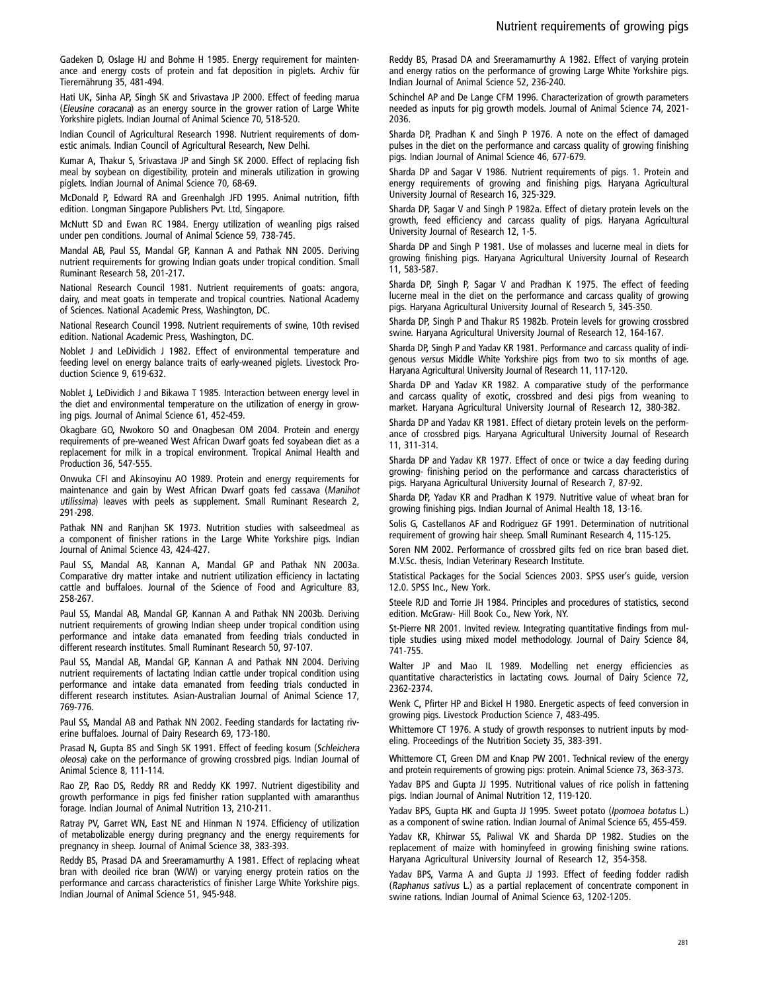Gadeken D, Oslage HJ and Bohme H 1985. Energy requirement for maintenance and energy costs of protein and fat deposition in piglets. Archiv für Tierernährung 35, 481-494.

Hati UK, Sinha AP, Singh SK and Srivastava JP 2000. Effect of feeding marua (Eleusine coracana) as an energy source in the grower ration of Large White Yorkshire piglets. Indian Journal of Animal Science 70, 518-520.

Indian Council of Agricultural Research 1998. Nutrient requirements of domestic animals. Indian Council of Agricultural Research, New Delhi.

Kumar A, Thakur S, Srivastava JP and Singh SK 2000. Effect of replacing fish meal by soybean on digestibility, protein and minerals utilization in growing piglets. Indian Journal of Animal Science 70, 68-69.

McDonald P, Edward RA and Greenhalgh JFD 1995. Animal nutrition, fifth edition. Longman Singapore Publishers Pvt. Ltd, Singapore.

McNutt SD and Ewan RC 1984. Energy utilization of weanling pigs raised under pen conditions. Journal of Animal Science 59, 738-745.

Mandal AB, Paul SS, Mandal GP, Kannan A and Pathak NN 2005. Deriving nutrient requirements for growing Indian goats under tropical condition. Small Ruminant Research 58, 201-217.

National Research Council 1981. Nutrient requirements of goats: angora, dairy, and meat goats in temperate and tropical countries. National Academy of Sciences. National Academic Press, Washington, DC.

National Research Council 1998. Nutrient requirements of swine, 10th revised edition. National Academic Press, Washington, DC.

Noblet J and LeDividich J 1982. Effect of environmental temperature and feeding level on energy balance traits of early-weaned piglets. Livestock Production Science 9, 619-632.

Noblet J, LeDividich J and Bikawa T 1985. Interaction between energy level in the diet and environmental temperature on the utilization of energy in growing pigs. Journal of Animal Science 61, 452-459.

Okagbare GO, Nwokoro SO and Onagbesan OM 2004. Protein and energy requirements of pre-weaned West African Dwarf goats fed soyabean diet as a replacement for milk in a tropical environment. Tropical Animal Health and Production 36, 547-555.

Onwuka CFI and Akinsoyinu AO 1989. Protein and energy requirements for maintenance and gain by West African Dwarf goats fed cassava (Manihot utilissima) leaves with peels as supplement. Small Ruminant Research 2, 291-298.

Pathak NN and Ranjhan SK 1973. Nutrition studies with salseedmeal as a component of finisher rations in the Large White Yorkshire pigs. Indian Journal of Animal Science 43, 424-427.

Paul SS, Mandal AB, Kannan A, Mandal GP and Pathak NN 2003a. Comparative dry matter intake and nutrient utilization efficiency in lactating cattle and buffaloes. Journal of the Science of Food and Agriculture 83, 258-267.

Paul SS, Mandal AB, Mandal GP, Kannan A and Pathak NN 2003b. Deriving nutrient requirements of growing Indian sheep under tropical condition using performance and intake data emanated from feeding trials conducted in different research institutes. Small Ruminant Research 50, 97-107.

Paul SS, Mandal AB, Mandal GP, Kannan A and Pathak NN 2004. Deriving nutrient requirements of lactating Indian cattle under tropical condition using performance and intake data emanated from feeding trials conducted in different research institutes. Asian-Australian Journal of Animal Science 17, 769-776.

Paul SS, Mandal AB and Pathak NN 2002. Feeding standards for lactating riverine buffaloes. Journal of Dairy Research 69, 173-180.

Prasad N, Gupta BS and Singh SK 1991. Effect of feeding kosum (Schleichera oleosa) cake on the performance of growing crossbred pigs. Indian Journal of Animal Science 8, 111-114.

Rao ZP, Rao DS, Reddy RR and Reddy KK 1997. Nutrient digestibility and growth performance in pigs fed finisher ration supplanted with amaranthus forage. Indian Journal of Animal Nutrition 13, 210-211.

Ratray PV, Garret WN, East NE and Hinman N 1974. Efficiency of utilization of metabolizable energy during pregnancy and the energy requirements for pregnancy in sheep. Journal of Animal Science 38, 383-393.

Reddy BS, Prasad DA and Sreeramamurthy A 1981. Effect of replacing wheat bran with deoiled rice bran (W/W) or varying energy protein ratios on the performance and carcass characteristics of finisher Large White Yorkshire pigs. Indian Journal of Animal Science 51, 945-948.

Reddy BS, Prasad DA and Sreeramamurthy A 1982. Effect of varying protein and energy ratios on the performance of growing Large White Yorkshire pigs. Indian Journal of Animal Science 52, 236-240.

Schinchel AP and De Lange CFM 1996. Characterization of growth parameters needed as inputs for pig growth models. Journal of Animal Science 74, 2021- 2036.

Sharda DP, Pradhan K and Singh P 1976. A note on the effect of damaged pulses in the diet on the performance and carcass quality of growing finishing pigs. Indian Journal of Animal Science 46, 677-679.

Sharda DP and Sagar V 1986. Nutrient requirements of pigs. 1. Protein and energy requirements of growing and finishing pigs. Haryana Agricultural University Journal of Research 16, 325-329.

Sharda DP, Sagar V and Singh P 1982a. Effect of dietary protein levels on the growth, feed efficiency and carcass quality of pigs. Haryana Agricultural University Journal of Research 12, 1-5.

Sharda DP and Singh P 1981. Use of molasses and lucerne meal in diets for growing finishing pigs. Haryana Agricultural University Journal of Research 11, 583-587.

Sharda DP, Singh P, Sagar V and Pradhan K 1975. The effect of feeding lucerne meal in the diet on the performance and carcass quality of growing pigs. Haryana Agricultural University Journal of Research 5, 345-350.

Sharda DP, Singh P and Thakur RS 1982b. Protein levels for growing crossbred swine. Haryana Agricultural University Journal of Research 12, 164-167.

Sharda DP, Singh P and Yadav KR 1981. Performance and carcass quality of indigenous versus Middle White Yorkshire pigs from two to six months of age. Haryana Agricultural University Journal of Research 11, 117-120.

Sharda DP and Yadav KR 1982. A comparative study of the performance and carcass quality of exotic, crossbred and desi pigs from weaning to market. Haryana Agricultural University Journal of Research 12, 380-382.

Sharda DP and Yadav KR 1981. Effect of dietary protein levels on the performance of crossbred pigs. Haryana Agricultural University Journal of Research 11, 311-314.

Sharda DP and Yadav KR 1977. Effect of once or twice a day feeding during growing- finishing period on the performance and carcass characteristics of pigs. Haryana Agricultural University Journal of Research 7, 87-92.

Sharda DP, Yadav KR and Pradhan K 1979. Nutritive value of wheat bran for growing finishing pigs. Indian Journal of Animal Health 18, 13-16.

Solis G, Castellanos AF and Rodriguez GF 1991. Determination of nutritional requirement of growing hair sheep. Small Ruminant Research 4, 115-125.

Soren NM 2002. Performance of crossbred gilts fed on rice bran based diet. M.V.Sc. thesis, Indian Veterinary Research Institute.

Statistical Packages for the Social Sciences 2003. SPSS user's guide, version 12.0. SPSS Inc., New York.

Steele RJD and Torrie JH 1984. Principles and procedures of statistics, second edition. McGraw- Hill Book Co., New York, NY.

St-Pierre NR 2001. Invited review. Integrating quantitative findings from multiple studies using mixed model methodology. Journal of Dairy Science 84, 741-755.

Walter JP and Mao IL 1989. Modelling net energy efficiencies as quantitative characteristics in lactating cows. Journal of Dairy Science 72, 2362-2374.

Wenk C, Pfirter HP and Bickel H 1980. Energetic aspects of feed conversion in growing pigs. Livestock Production Science 7, 483-495.

Whittemore CT 1976. A study of growth responses to nutrient inputs by modeling. Proceedings of the Nutrition Society 35, 383-391.

Whittemore CT, Green DM and Knap PW 2001. Technical review of the energy and protein requirements of growing pigs: protein. Animal Science 73, 363-373.

Yadav BPS and Gupta JJ 1995. Nutritional values of rice polish in fattening pigs. Indian Journal of Animal Nutrition 12, 119-120.

Yadav BPS, Gupta HK and Gupta JJ 1995. Sweet potato (Ipomoea botatus L.) as a component of swine ration. Indian Journal of Animal Science 65, 455-459.

Yadav KR, Khirwar SS, Paliwal VK and Sharda DP 1982. Studies on the replacement of maize with hominyfeed in growing finishing swine rations. Haryana Agricultural University Journal of Research 12, 354-358.

Yadav BPS, Varma A and Gupta JJ 1993. Effect of feeding fodder radish (Raphanus sativus L.) as a partial replacement of concentrate component in swine rations. Indian Journal of Animal Science 63, 1202-1205.